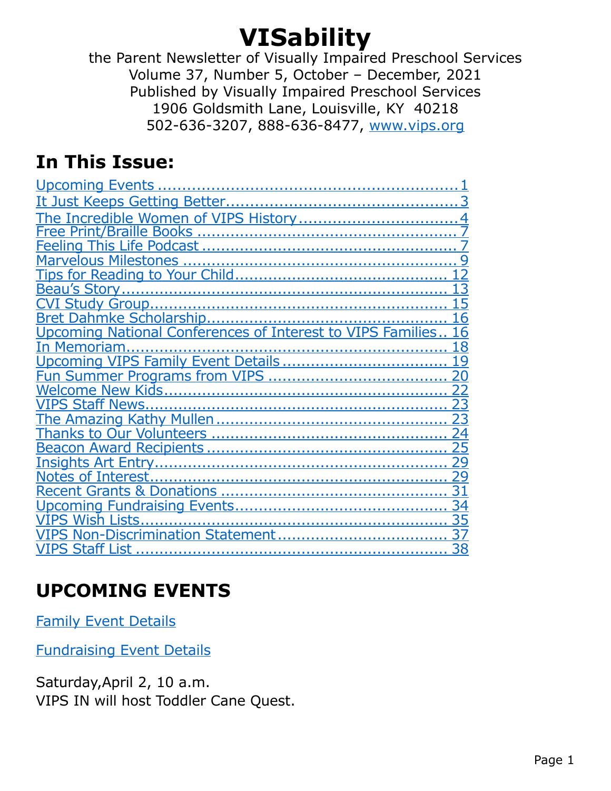# <span id="page-0-2"></span>**VISability**

the Parent Newsletter of Visually Impaired Preschool Services Volume 37, Number 5, October – December, 2021 Published by Visually Impaired Preschool Services 1906 Goldsmith Lane, Louisville, KY 40218 502-636-3207, 888-636-8477, [www.vips.org](http://www.vips.org)

# <span id="page-0-1"></span>**In This Issue:**

| Upcoming National Conferences of Interest to VIPS Families |
|------------------------------------------------------------|
| Memoriam                                                   |
|                                                            |
|                                                            |
|                                                            |
|                                                            |
|                                                            |
|                                                            |
|                                                            |
|                                                            |
|                                                            |
|                                                            |
|                                                            |
| PS Wish Lists                                              |
| PS Non-Discrimination Statement                            |
| List                                                       |

# <span id="page-0-0"></span>**UPCOMING EVENTS**

[Family Event Details](#page-33-0)

[Fundraising Event Details](#page-33-0)

Saturday,April 2, 10 a.m. VIPS IN will host Toddler Cane Quest.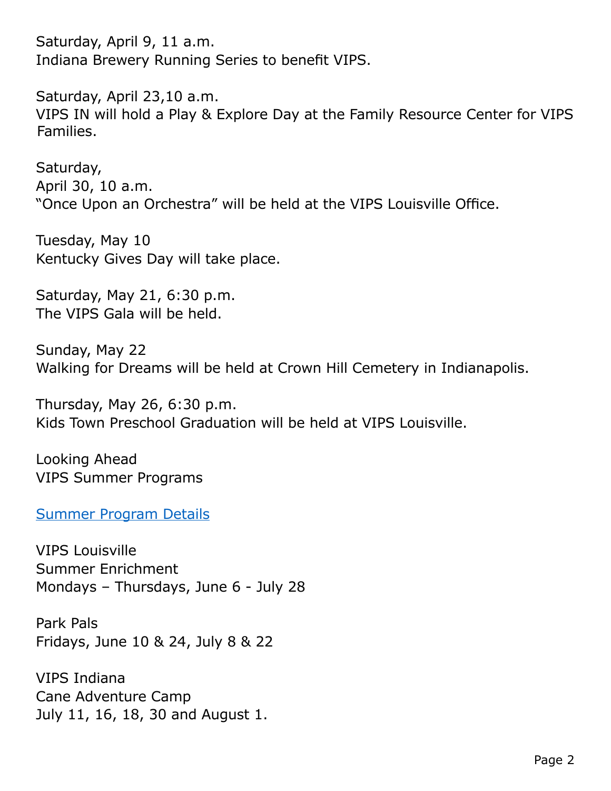Saturday, April 9, 11 a.m. Indiana Brewery Running Series to benefit VIPS.

Saturday, April 23,10 a.m. VIPS IN will hold a Play & Explore Day at the Family Resource Center for VIPS Families.

Saturday, April 30, 10 a.m. "Once Upon an Orchestra" will be held at the VIPS Louisville Office.

Tuesday, May 10 Kentucky Gives Day will take place.

Saturday, May 21, 6:30 p.m. The VIPS Gala will be held.

Sunday, May 22 Walking for Dreams will be held at Crown Hill Cemetery in Indianapolis.

Thursday, May 26, 6:30 p.m. Kids Town Preschool Graduation will be held at VIPS Louisville.

Looking Ahead VIPS Summer Programs

[Summer Program Details](#page-19-0)

VIPS Louisville Summer Enrichment Mondays – Thursdays, June 6 - July 28

Park Pals Fridays, June 10 & 24, July 8 & 22

VIPS Indiana Cane Adventure Camp July 11, 16, 18, 30 and August 1.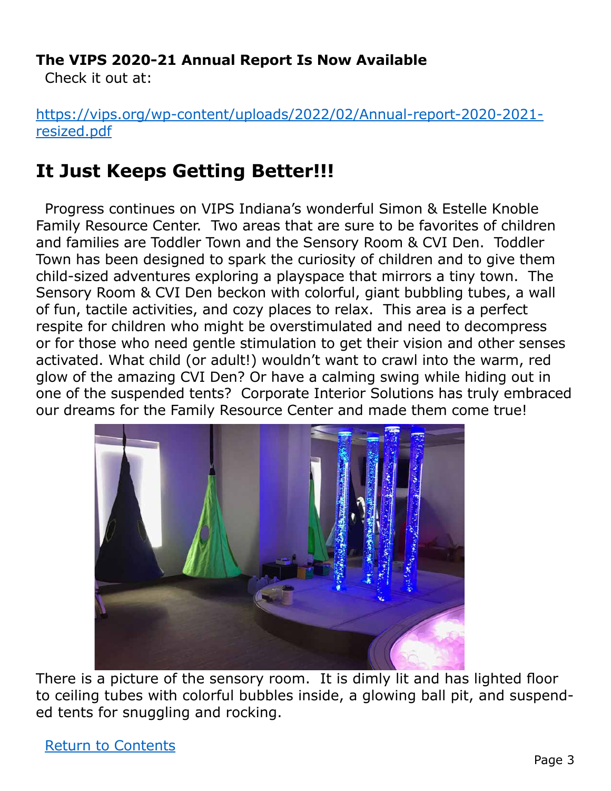### **The VIPS 2020-21 Annual Report Is Now Available**

Check it out at:

[https://vips.org/wp-content/uploads/2022/02/Annual-report-2020-2021](https://vips.org/wp-content/uploads/2022/02/Annual-report-2020-2021-resized.pdf) [resized.pdf](https://vips.org/wp-content/uploads/2022/02/Annual-report-2020-2021-resized.pdf)

# <span id="page-2-0"></span>**It Just Keeps Getting Better!!!**

Progress continues on VIPS Indiana's wonderful Simon & Estelle Knoble Family Resource Center. Two areas that are sure to be favorites of children and families are Toddler Town and the Sensory Room & CVI Den. Toddler Town has been designed to spark the curiosity of children and to give them child-sized adventures exploring a playspace that mirrors a tiny town. The Sensory Room & CVI Den beckon with colorful, giant bubbling tubes, a wall of fun, tactile activities, and cozy places to relax. This area is a perfect respite for children who might be overstimulated and need to decompress or for those who need gentle stimulation to get their vision and other senses activated. What child (or adult!) wouldn't want to crawl into the warm, red glow of the amazing CVI Den? Or have a calming swing while hiding out in one of the suspended tents? Corporate Interior Solutions has truly embraced our dreams for the Family Resource Center and made them come true!



There is a picture of the sensory room. It is dimly lit and has lighted floor to ceiling tubes with colorful bubbles inside, a glowing ball pit, and suspended tents for snuggling and rocking.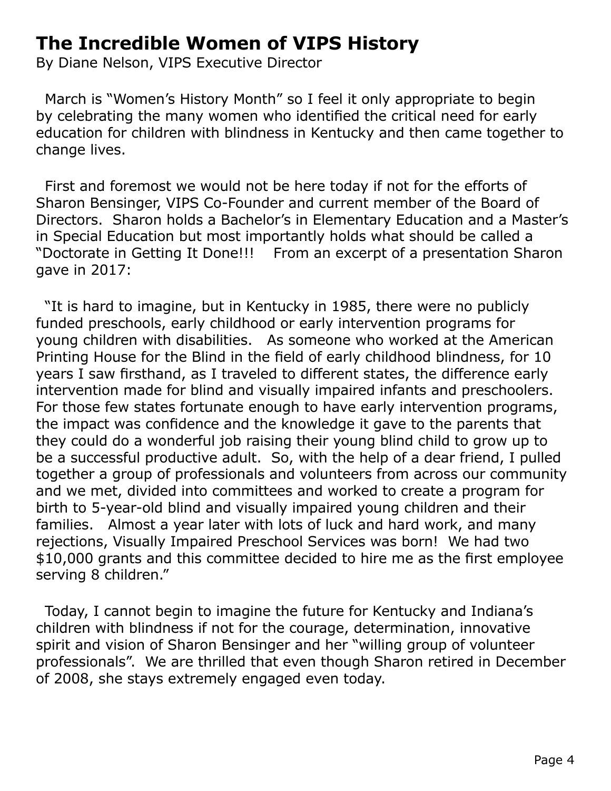# <span id="page-3-0"></span>**The Incredible Women of VIPS History**

By Diane Nelson, VIPS Executive Director

March is "Women's History Month" so I feel it only appropriate to begin by celebrating the many women who identified the critical need for early education for children with blindness in Kentucky and then came together to change lives.

First and foremost we would not be here today if not for the efforts of Sharon Bensinger, VIPS Co-Founder and current member of the Board of Directors. Sharon holds a Bachelor's in Elementary Education and a Master's in Special Education but most importantly holds what should be called a "Doctorate in Getting It Done!!! From an excerpt of a presentation Sharon gave in 2017:

"It is hard to imagine, but in Kentucky in 1985, there were no publicly funded preschools, early childhood or early intervention programs for young children with disabilities. As someone who worked at the American Printing House for the Blind in the field of early childhood blindness, for 10 years I saw firsthand, as I traveled to different states, the difference early intervention made for blind and visually impaired infants and preschoolers. For those few states fortunate enough to have early intervention programs, the impact was confidence and the knowledge it gave to the parents that they could do a wonderful job raising their young blind child to grow up to be a successful productive adult. So, with the help of a dear friend, I pulled together a group of professionals and volunteers from across our community and we met, divided into committees and worked to create a program for birth to 5-year-old blind and visually impaired young children and their families. Almost a year later with lots of luck and hard work, and many rejections, Visually Impaired Preschool Services was born! We had two \$10,000 grants and this committee decided to hire me as the first employee serving 8 children."

Today, I cannot begin to imagine the future for Kentucky and Indiana's children with blindness if not for the courage, determination, innovative spirit and vision of Sharon Bensinger and her "willing group of volunteer professionals". We are thrilled that even though Sharon retired in December of 2008, she stays extremely engaged even today.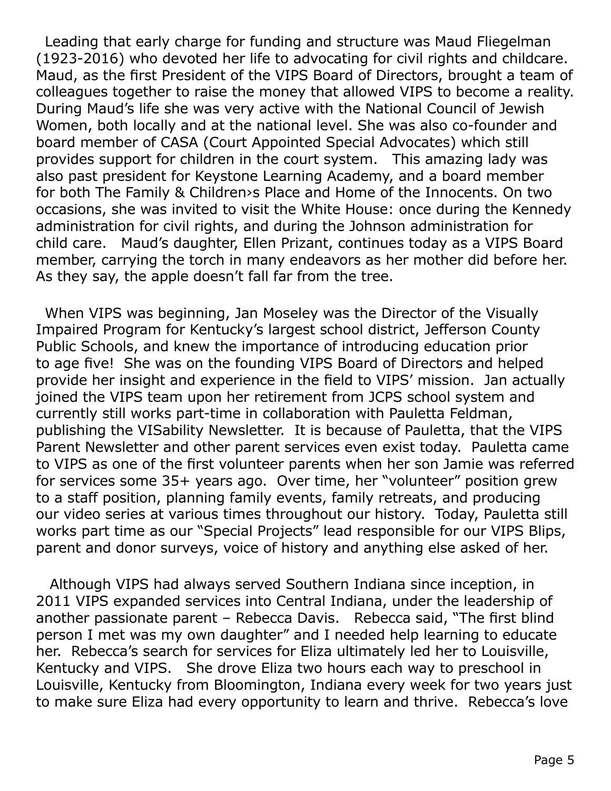Leading that early charge for funding and structure was Maud Fliegelman (1923-2016) who devoted her life to advocating for civil rights and childcare. Maud, as the first President of the VIPS Board of Directors, brought a team of colleagues together to raise the money that allowed VIPS to become a reality. During Maud's life she was very active with the National Council of Jewish Women, both locally and at the national level. She was also co-founder and board member of CASA (Court Appointed Special Advocates) which still provides support for children in the court system. This amazing lady was also past president for Keystone Learning Academy, and a board member for both The Family & Children›s Place and Home of the Innocents. On two occasions, she was invited to visit the White House: once during the Kennedy administration for civil rights, and during the Johnson administration for child care. Maud's daughter, Ellen Prizant, continues today as a VIPS Board member, carrying the torch in many endeavors as her mother did before her. As they say, the apple doesn't fall far from the tree.

When VIPS was beginning, Jan Moseley was the Director of the Visually Impaired Program for Kentucky's largest school district, Jefferson County Public Schools, and knew the importance of introducing education prior to age five! She was on the founding VIPS Board of Directors and helped provide her insight and experience in the field to VIPS' mission. Jan actually joined the VIPS team upon her retirement from JCPS school system and currently still works part-time in collaboration with Pauletta Feldman, publishing the VISability Newsletter. It is because of Pauletta, that the VIPS Parent Newsletter and other parent services even exist today. Pauletta came to VIPS as one of the first volunteer parents when her son Jamie was referred for services some 35+ years ago. Over time, her "volunteer" position grew to a staff position, planning family events, family retreats, and producing our video series at various times throughout our history. Today, Pauletta still works part time as our "Special Projects" lead responsible for our VIPS Blips, parent and donor surveys, voice of history and anything else asked of her.

 Although VIPS had always served Southern Indiana since inception, in 2011 VIPS expanded services into Central Indiana, under the leadership of another passionate parent – Rebecca Davis. Rebecca said, "The first blind person I met was my own daughter" and I needed help learning to educate her. Rebecca's search for services for Eliza ultimately led her to Louisville, Kentucky and VIPS. She drove Eliza two hours each way to preschool in Louisville, Kentucky from Bloomington, Indiana every week for two years just to make sure Eliza had every opportunity to learn and thrive. Rebecca's love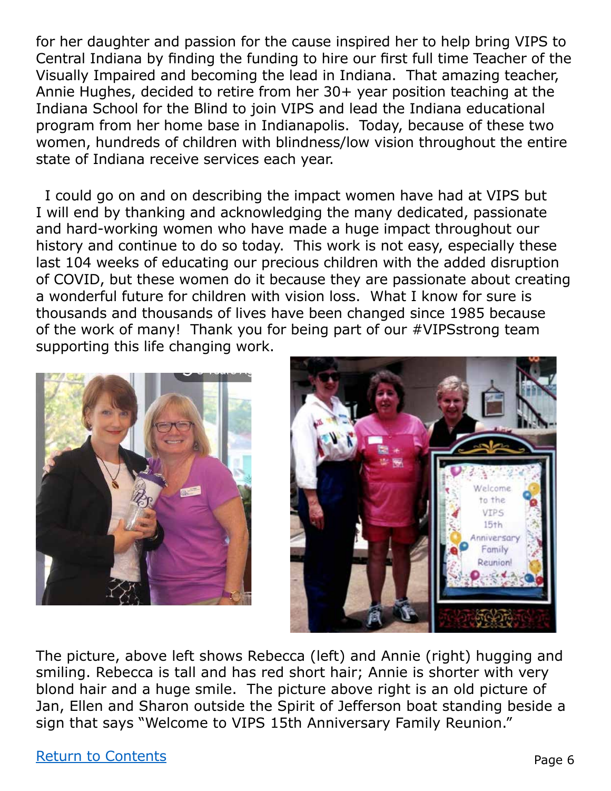for her daughter and passion for the cause inspired her to help bring VIPS to Central Indiana by finding the funding to hire our first full time Teacher of the Visually Impaired and becoming the lead in Indiana. That amazing teacher, Annie Hughes, decided to retire from her 30+ year position teaching at the Indiana School for the Blind to join VIPS and lead the Indiana educational program from her home base in Indianapolis. Today, because of these two women, hundreds of children with blindness/low vision throughout the entire state of Indiana receive services each year.

I could go on and on describing the impact women have had at VIPS but I will end by thanking and acknowledging the many dedicated, passionate and hard-working women who have made a huge impact throughout our history and continue to do so today. This work is not easy, especially these last 104 weeks of educating our precious children with the added disruption of COVID, but these women do it because they are passionate about creating a wonderful future for children with vision loss. What I know for sure is thousands and thousands of lives have been changed since 1985 because of the work of many! Thank you for being part of our #VIPSstrong team supporting this life changing work.





The picture, above left shows Rebecca (left) and Annie (right) hugging and smiling. Rebecca is tall and has red short hair; Annie is shorter with very blond hair and a huge smile. The picture above right is an old picture of Jan, Ellen and Sharon outside the Spirit of Jefferson boat standing beside a sign that says "Welcome to VIPS 15th Anniversary Family Reunion."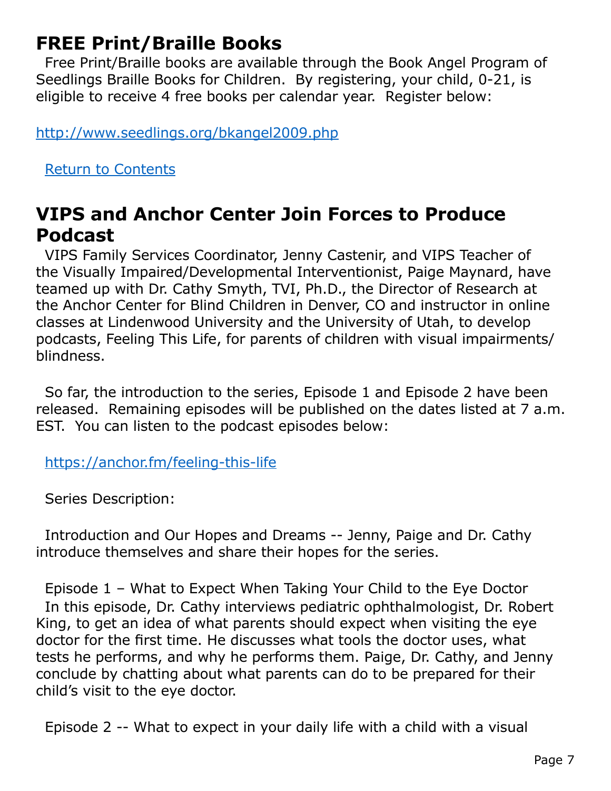# **FREE Print/Braille Books**

Free Print/Braille books are available through the Book Angel Program of Seedlings Braille Books for Children. By registering, your child, 0-21, is eligible to receive 4 free books per calendar year. Register below:

<http://www.seedlings.org/bkangel2009.php>

<span id="page-6-0"></span>[Return to Contents](#page-0-1)

### **VIPS and Anchor Center Join Forces to Produce Podcast**

VIPS Family Services Coordinator, Jenny Castenir, and VIPS Teacher of the Visually Impaired/Developmental Interventionist, Paige Maynard, have teamed up with Dr. Cathy Smyth, TVI, Ph.D., the Director of Research at the Anchor Center for Blind Children in Denver, CO and instructor in online classes at Lindenwood University and the University of Utah, to develop podcasts, Feeling This Life, for parents of children with visual impairments/ blindness.

So far, the introduction to the series, Episode 1 and Episode 2 have been released. Remaining episodes will be published on the dates listed at 7 a.m. EST. You can listen to the podcast episodes below:

<https://anchor.fm/feeling-this-life>

Series Description:

Introduction and Our Hopes and Dreams -- Jenny, Paige and Dr. Cathy introduce themselves and share their hopes for the series.

Episode 1 – What to Expect When Taking Your Child to the Eye Doctor In this episode, Dr. Cathy interviews pediatric ophthalmologist, Dr. Robert King, to get an idea of what parents should expect when visiting the eye doctor for the first time. He discusses what tools the doctor uses, what tests he performs, and why he performs them. Paige, Dr. Cathy, and Jenny conclude by chatting about what parents can do to be prepared for their child's visit to the eye doctor.

Episode 2 -- What to expect in your daily life with a child with a visual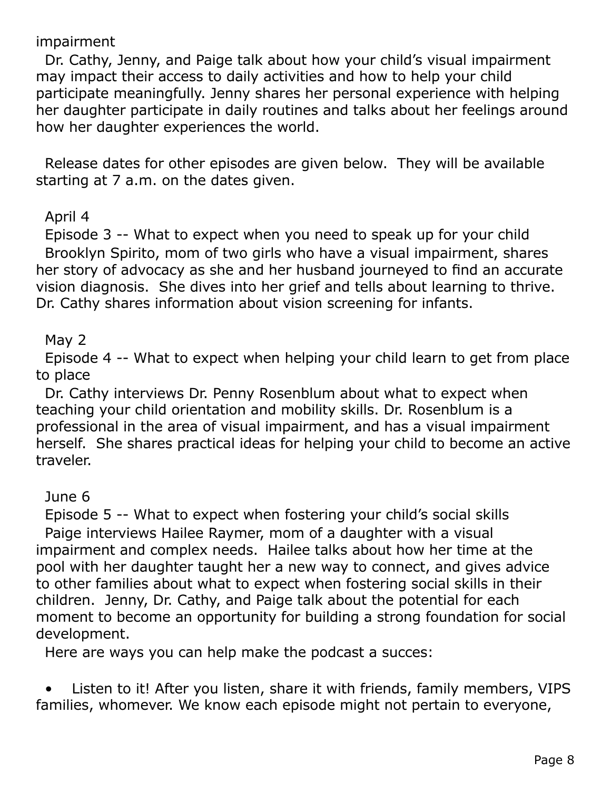impairment

Dr. Cathy, Jenny, and Paige talk about how your child's visual impairment may impact their access to daily activities and how to help your child participate meaningfully. Jenny shares her personal experience with helping her daughter participate in daily routines and talks about her feelings around how her daughter experiences the world.

Release dates for other episodes are given below. They will be available starting at 7 a.m. on the dates given.

#### April 4

Episode 3 -- What to expect when you need to speak up for your child Brooklyn Spirito, mom of two girls who have a visual impairment, shares her story of advocacy as she and her husband journeyed to find an accurate vision diagnosis. She dives into her grief and tells about learning to thrive. Dr. Cathy shares information about vision screening for infants.

#### May 2

Episode 4 -- What to expect when helping your child learn to get from place to place

Dr. Cathy interviews Dr. Penny Rosenblum about what to expect when teaching your child orientation and mobility skills. Dr. Rosenblum is a professional in the area of visual impairment, and has a visual impairment herself. She shares practical ideas for helping your child to become an active traveler.

#### June 6

Episode 5 -- What to expect when fostering your child's social skills Paige interviews Hailee Raymer, mom of a daughter with a visual impairment and complex needs. Hailee talks about how her time at the pool with her daughter taught her a new way to connect, and gives advice to other families about what to expect when fostering social skills in their children. Jenny, Dr. Cathy, and Paige talk about the potential for each moment to become an opportunity for building a strong foundation for social development.

Here are ways you can help make the podcast a succes:

Listen to it! After you listen, share it with friends, family members, VIPS families, whomever. We know each episode might not pertain to everyone,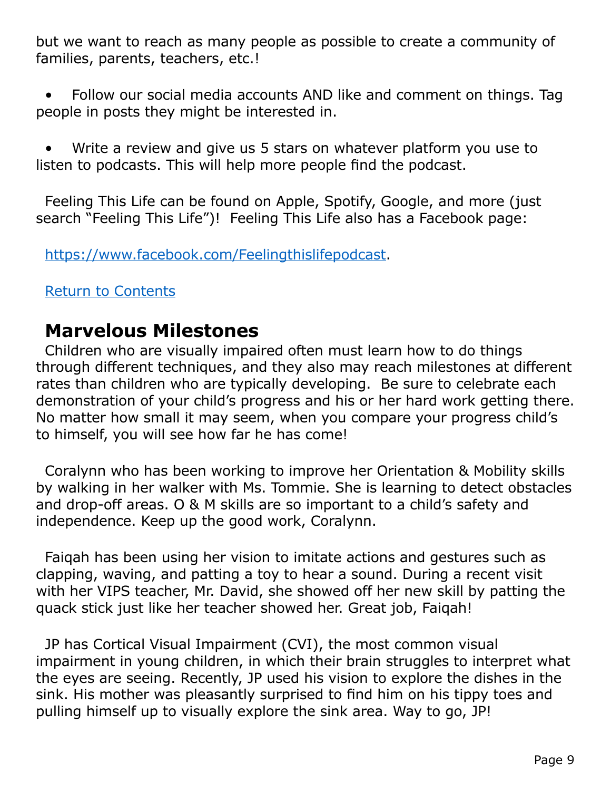but we want to reach as many people as possible to create a community of families, parents, teachers, etc.!

• Follow our social media accounts AND like and comment on things. Tag people in posts they might be interested in.

• Write a review and give us 5 stars on whatever platform you use to listen to podcasts. This will help more people find the podcast.

Feeling This Life can be found on Apple, Spotify, Google, and more (just search "Feeling This Life")! Feeling This Life also has a Facebook page:

[https://www.facebook.com/Feelingthislifepodcast.](https://www.facebook.com/Feelingthislifepodcast)

#### [Return to Contents](#page-0-1)

### <span id="page-8-0"></span>**Marvelous Milestones**

Children who are visually impaired often must learn how to do things through different techniques, and they also may reach milestones at different rates than children who are typically developing. Be sure to celebrate each demonstration of your child's progress and his or her hard work getting there. No matter how small it may seem, when you compare your progress child's to himself, you will see how far he has come!

Coralynn who has been working to improve her Orientation & Mobility skills by walking in her walker with Ms. Tommie. She is learning to detect obstacles and drop-off areas. O & M skills are so important to a child's safety and independence. Keep up the good work, Coralynn.

Faiqah has been using her vision to imitate actions and gestures such as clapping, waving, and patting a toy to hear a sound. During a recent visit with her VIPS teacher, Mr. David, she showed off her new skill by patting the quack stick just like her teacher showed her. Great job, Faiqah!

JP has Cortical Visual Impairment (CVI), the most common visual impairment in young children, in which their brain struggles to interpret what the eyes are seeing. Recently, JP used his vision to explore the dishes in the sink. His mother was pleasantly surprised to find him on his tippy toes and pulling himself up to visually explore the sink area. Way to go, JP!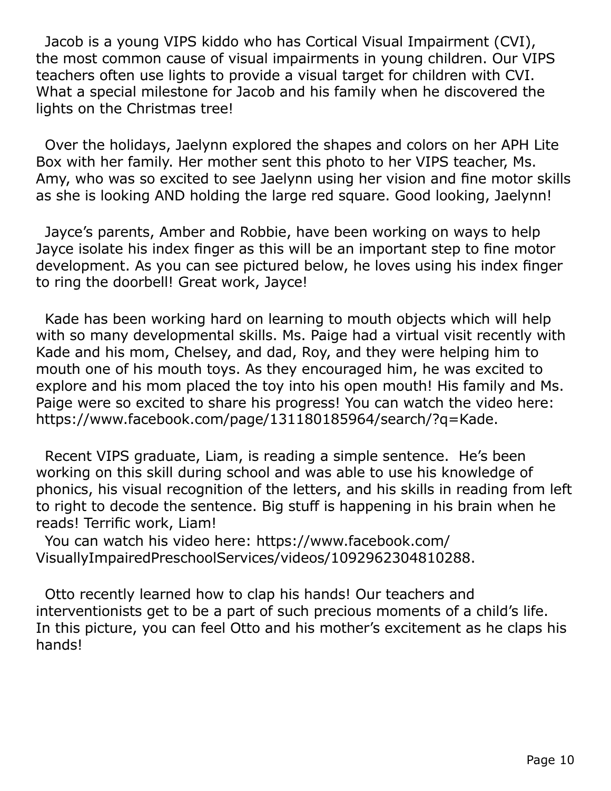Jacob is a young VIPS kiddo who has Cortical Visual Impairment (CVI), the most common cause of visual impairments in young children. Our VIPS teachers often use lights to provide a visual target for children with CVI. What a special milestone for Jacob and his family when he discovered the lights on the Christmas tree!

Over the holidays, Jaelynn explored the shapes and colors on her APH Lite Box with her family. Her mother sent this photo to her VIPS teacher, Ms. Amy, who was so excited to see Jaelynn using her vision and fine motor skills as she is looking AND holding the large red square. Good looking, Jaelynn!

Jayce's parents, Amber and Robbie, have been working on ways to help Jayce isolate his index finger as this will be an important step to fine motor development. As you can see pictured below, he loves using his index finger to ring the doorbell! Great work, Jayce!

Kade has been working hard on learning to mouth objects which will help with so many developmental skills. Ms. Paige had a virtual visit recently with Kade and his mom, Chelsey, and dad, Roy, and they were helping him to mouth one of his mouth toys. As they encouraged him, he was excited to explore and his mom placed the toy into his open mouth! His family and Ms. Paige were so excited to share his progress! You can watch the video here: https://www.facebook.com/page/131180185964/search/?q=Kade.

Recent VIPS graduate, Liam, is reading a simple sentence. He's been working on this skill during school and was able to use his knowledge of phonics, his visual recognition of the letters, and his skills in reading from left to right to decode the sentence. Big stuff is happening in his brain when he reads! Terrific work, Liam!

You can watch his video here: https://www.facebook.com/ VisuallyImpairedPreschoolServices/videos/1092962304810288.

Otto recently learned how to clap his hands! Our teachers and interventionists get to be a part of such precious moments of a child's life. In this picture, you can feel Otto and his mother's excitement as he claps his hands!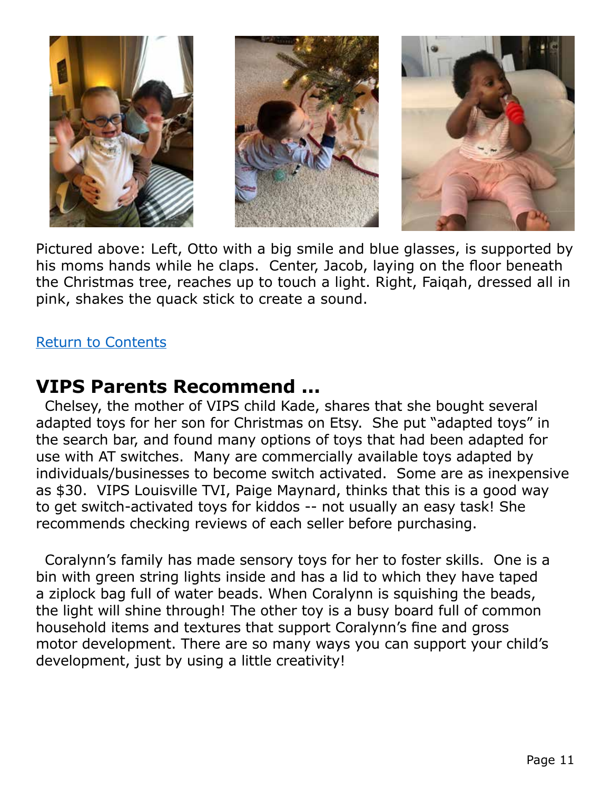

Pictured above: Left, Otto with a big smile and blue glasses, is supported by his moms hands while he claps. Center, Jacob, laying on the floor beneath the Christmas tree, reaches up to touch a light. Right, Faiqah, dressed all in pink, shakes the quack stick to create a sound.

#### [Return to Contents](#page-0-1)

### **VIPS Parents Recommend ...**

Chelsey, the mother of VIPS child Kade, shares that she bought several adapted toys for her son for Christmas on Etsy. She put "adapted toys" in the search bar, and found many options of toys that had been adapted for use with AT switches. Many are commercially available toys adapted by individuals/businesses to become switch activated. Some are as inexpensive as \$30. VIPS Louisville TVI, Paige Maynard, thinks that this is a good way to get switch-activated toys for kiddos -- not usually an easy task! She recommends checking reviews of each seller before purchasing.

Coralynn's family has made sensory toys for her to foster skills. One is a bin with green string lights inside and has a lid to which they have taped a ziplock bag full of water beads. When Coralynn is squishing the beads, the light will shine through! The other toy is a busy board full of common household items and textures that support Coralynn's fine and gross motor development. There are so many ways you can support your child's development, just by using a little creativity!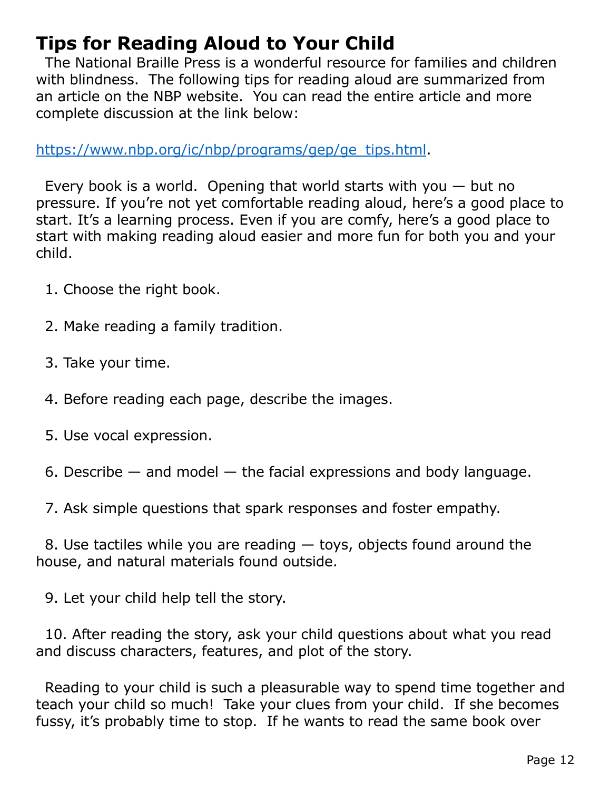# <span id="page-11-0"></span>**Tips for Reading Aloud to Your Child**

The National Braille Press is a wonderful resource for families and children with blindness. The following tips for reading aloud are summarized from an article on the NBP website. You can read the entire article and more complete discussion at the link below:

[https://www.nbp.org/ic/nbp/programs/gep/ge\\_tips.html](https://www.nbp.org/ic/nbp/programs/gep/ge_tips.html).

Every book is a world. Opening that world starts with you  $-$  but no pressure. If you're not yet comfortable reading aloud, here's a good place to start. It's a learning process. Even if you are comfy, here's a good place to start with making reading aloud easier and more fun for both you and your child.

- 1. Choose the right book.
- 2. Make reading a family tradition.
- 3. Take your time.
- 4. Before reading each page, describe the images.
- 5. Use vocal expression.
- 6. Describe  $-$  and model  $-$  the facial expressions and body language.

7. Ask simple questions that spark responses and foster empathy.

8. Use tactiles while you are reading — toys, objects found around the house, and natural materials found outside.

9. Let your child help tell the story.

10. After reading the story, ask your child questions about what you read and discuss characters, features, and plot of the story.

Reading to your child is such a pleasurable way to spend time together and teach your child so much! Take your clues from your child. If she becomes fussy, it's probably time to stop. If he wants to read the same book over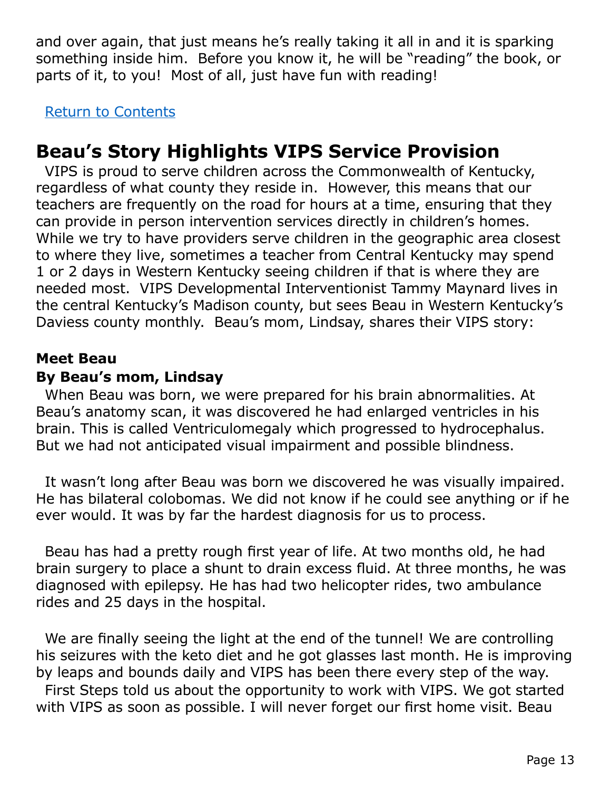and over again, that just means he's really taking it all in and it is sparking something inside him. Before you know it, he will be "reading" the book, or parts of it, to you! Most of all, just have fun with reading!

[Return to Contents](#page-0-1)

# **Beau's Story Highlights VIPS Service Provision**

VIPS is proud to serve children across the Commonwealth of Kentucky, regardless of what county they reside in. However, this means that our teachers are frequently on the road for hours at a time, ensuring that they can provide in person intervention services directly in children's homes. While we try to have providers serve children in the geographic area closest to where they live, sometimes a teacher from Central Kentucky may spend 1 or 2 days in Western Kentucky seeing children if that is where they are needed most. VIPS Developmental Interventionist Tammy Maynard lives in the central Kentucky's Madison county, but sees Beau in Western Kentucky's Daviess county monthly. Beau's mom, Lindsay, shares their VIPS story:

#### **Meet Beau**

#### **By Beau's mom, Lindsay**

When Beau was born, we were prepared for his brain abnormalities. At Beau's anatomy scan, it was discovered he had enlarged ventricles in his brain. This is called Ventriculomegaly which progressed to hydrocephalus. But we had not anticipated visual impairment and possible blindness.

It wasn't long after Beau was born we discovered he was visually impaired. He has bilateral colobomas. We did not know if he could see anything or if he ever would. It was by far the hardest diagnosis for us to process.

Beau has had a pretty rough first year of life. At two months old, he had brain surgery to place a shunt to drain excess fluid. At three months, he was diagnosed with epilepsy. He has had two helicopter rides, two ambulance rides and 25 days in the hospital.

We are finally seeing the light at the end of the tunnel! We are controlling his seizures with the keto diet and he got glasses last month. He is improving by leaps and bounds daily and VIPS has been there every step of the way. First Steps told us about the opportunity to work with VIPS. We got started with VIPS as soon as possible. I will never forget our first home visit. Beau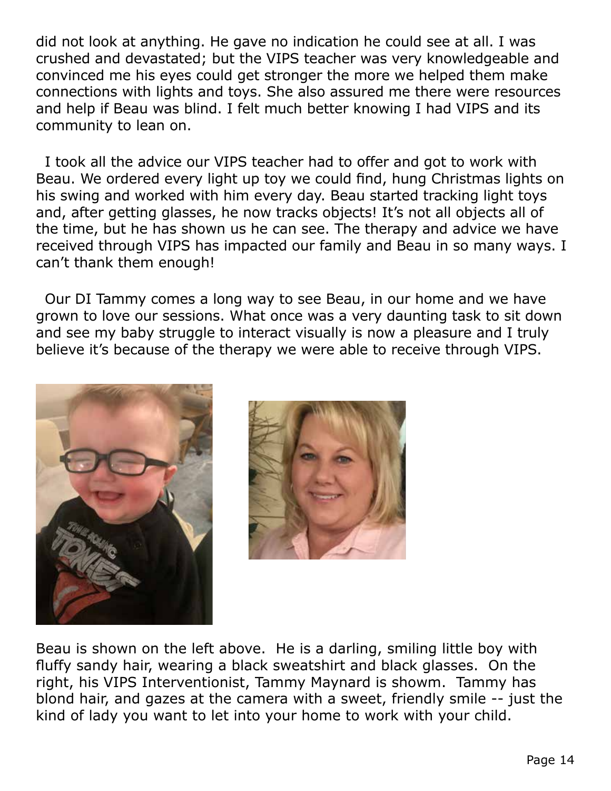did not look at anything. He gave no indication he could see at all. I was crushed and devastated; but the VIPS teacher was very knowledgeable and convinced me his eyes could get stronger the more we helped them make connections with lights and toys. She also assured me there were resources and help if Beau was blind. I felt much better knowing I had VIPS and its community to lean on.

I took all the advice our VIPS teacher had to offer and got to work with Beau. We ordered every light up toy we could find, hung Christmas lights on his swing and worked with him every day. Beau started tracking light toys and, after getting glasses, he now tracks objects! It's not all objects all of the time, but he has shown us he can see. The therapy and advice we have received through VIPS has impacted our family and Beau in so many ways. I can't thank them enough!

Our DI Tammy comes a long way to see Beau, in our home and we have grown to love our sessions. What once was a very daunting task to sit down and see my baby struggle to interact visually is now a pleasure and I truly believe it's because of the therapy we were able to receive through VIPS.





Beau is shown on the left above. He is a darling, smiling little boy with fluffy sandy hair, wearing a black sweatshirt and black glasses. On the right, his VIPS Interventionist, Tammy Maynard is showm. Tammy has blond hair, and gazes at the camera with a sweet, friendly smile -- just the kind of lady you want to let into your home to work with your child.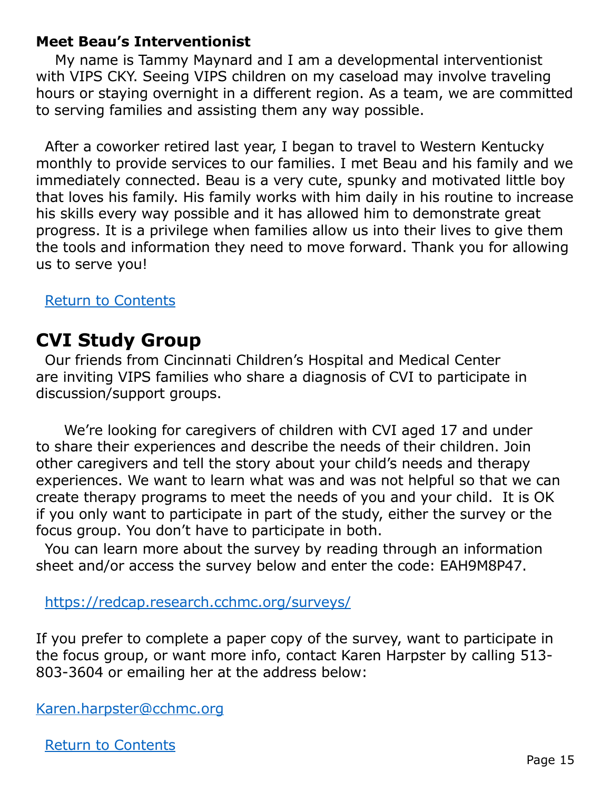#### **Meet Beau's Interventionist**

 My name is Tammy Maynard and I am a developmental interventionist with VIPS CKY. Seeing VIPS children on my caseload may involve traveling hours or staying overnight in a different region. As a team, we are committed to serving families and assisting them any way possible.

After a coworker retired last year, I began to travel to Western Kentucky monthly to provide services to our families. I met Beau and his family and we immediately connected. Beau is a very cute, spunky and motivated little boy that loves his family. His family works with him daily in his routine to increase his skills every way possible and it has allowed him to demonstrate great progress. It is a privilege when families allow us into their lives to give them the tools and information they need to move forward. Thank you for allowing us to serve you!

#### [Return to Contents](#page-0-1)

### <span id="page-14-0"></span>**CVI Study Group**

Our friends from Cincinnati Children's Hospital and Medical Center are inviting VIPS families who share a diagnosis of CVI to participate in discussion/support groups.

 We're looking for caregivers of children with CVI aged 17 and under to share their experiences and describe the needs of their children. Join other caregivers and tell the story about your child's needs and therapy experiences. We want to learn what was and was not helpful so that we can create therapy programs to meet the needs of you and your child. It is OK if you only want to participate in part of the study, either the survey or the focus group. You don't have to participate in both.

You can learn more about the survey by reading through an information sheet and/or access the survey below and enter the code: EAH9M8P47.

<https://redcap.research.cchmc.org/surveys/>

If you prefer to complete a paper copy of the survey, want to participate in the focus group, or want more info, contact Karen Harpster by calling 513- 803-3604 or emailing her at the address below:

[Karen.harpster@cchmc.org](mailto:Karen.harpster%40cchmc.org?subject=)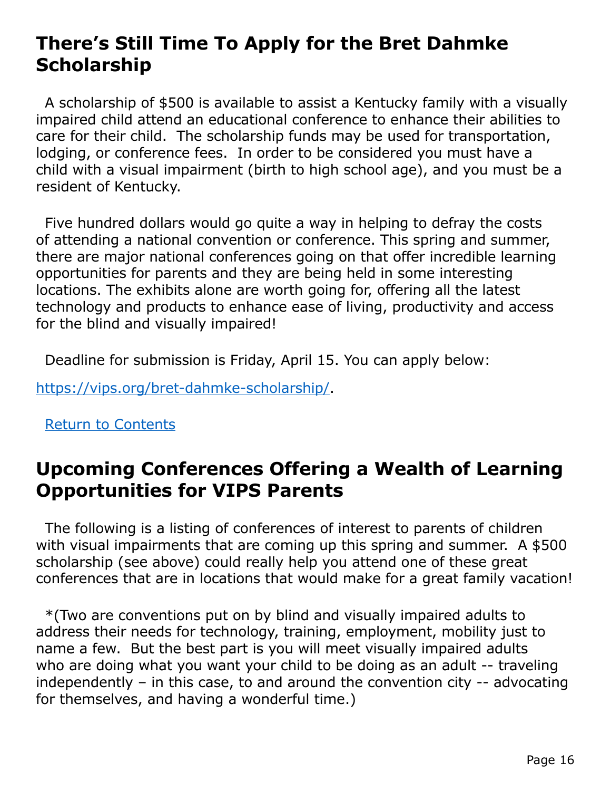### **There's Still Time To Apply for the Bret Dahmke Scholarship**

A scholarship of \$500 is available to assist a Kentucky family with a visually impaired child attend an educational conference to enhance their abilities to care for their child. The scholarship funds may be used for transportation, lodging, or conference fees. In order to be considered you must have a child with a visual impairment (birth to high school age), and you must be a resident of Kentucky.

Five hundred dollars would go quite a way in helping to defray the costs of attending a national convention or conference. This spring and summer, there are major national conferences going on that offer incredible learning opportunities for parents and they are being held in some interesting locations. The exhibits alone are worth going for, offering all the latest technology and products to enhance ease of living, productivity and access for the blind and visually impaired!

Deadline for submission is Friday, April 15. You can apply below:

<https://vips.org/bret-dahmke-scholarship/>.

### [Return to Contents](#page-0-1)

### **Upcoming Conferences Offering a Wealth of Learning Opportunities for VIPS Parents**

The following is a listing of conferences of interest to parents of children with visual impairments that are coming up this spring and summer. A \$500 scholarship (see above) could really help you attend one of these great conferences that are in locations that would make for a great family vacation!

\*(Two are conventions put on by blind and visually impaired adults to address their needs for technology, training, employment, mobility just to name a few. But the best part is you will meet visually impaired adults who are doing what you want your child to be doing as an adult -- traveling independently – in this case, to and around the convention city -- advocating for themselves, and having a wonderful time.)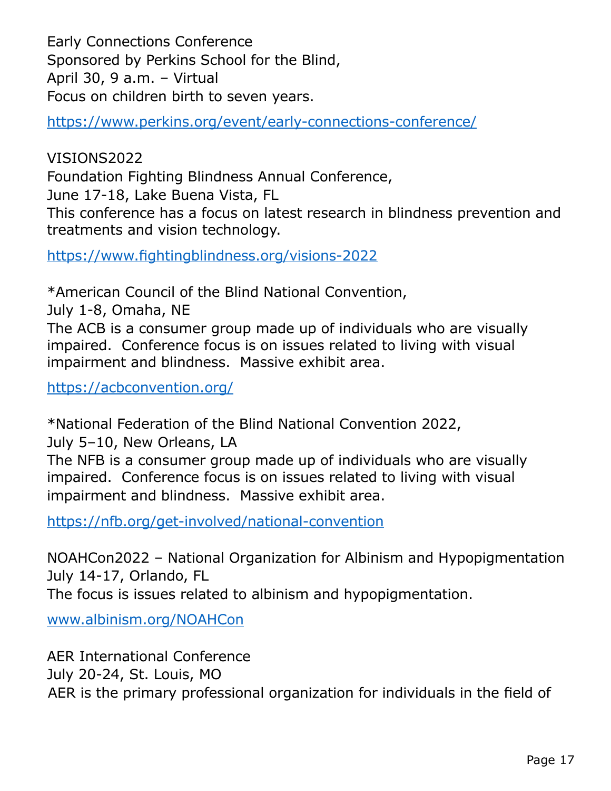Early Connections Conference Sponsored by Perkins School for the Blind, April 30, 9 a.m. – Virtual Focus on children birth to seven years.

<https://www.perkins.org/event/early-connections-conference/>

VISIONS2022 Foundation Fighting Blindness Annual Conference, June 17-18, Lake Buena Vista, FL This conference has a focus on latest research in blindness prevention and treatments and vision technology.

<https://www.fightingblindness.org/visions-2022>

\*American Council of the Blind National Convention,

July 1-8, Omaha, NE

The ACB is a consumer group made up of individuals who are visually impaired. Conference focus is on issues related to living with visual impairment and blindness. Massive exhibit area.

<https://acbconvention.org/>

\*National Federation of the Blind National Convention 2022,

July 5–10, New Orleans, LA

The NFB is a consumer group made up of individuals who are visually impaired. Conference focus is on issues related to living with visual impairment and blindness. Massive exhibit area.

<https://nfb.org/get-involved/national-convention>

NOAHCon2022 – National Organization for Albinism and Hypopigmentation July 14-17, Orlando, FL The focus is issues related to albinism and hypopigmentation.

[www.albinism.org/NOAHCon](http://www.albinism.org/NOAHCon)

AER International Conference July 20-24, St. Louis, MO AER is the primary professional organization for individuals in the field of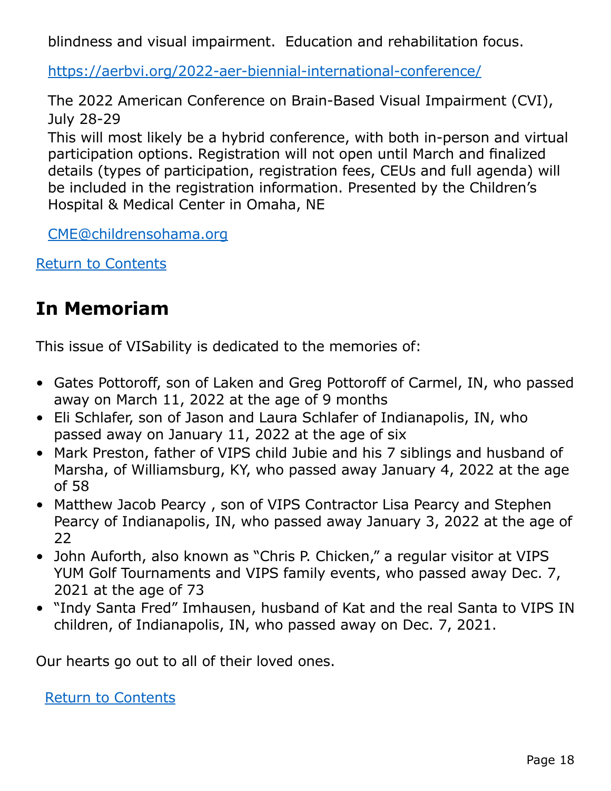blindness and visual impairment. Education and rehabilitation focus.

<https://aerbvi.org/2022-aer-biennial-international-conference/>

The 2022 American Conference on Brain-Based Visual Impairment (CVI), July 28-29

This will most likely be a hybrid conference, with both in-person and virtual participation options. Registration will not open until March and finalized details (types of participation, registration fees, CEUs and full agenda) will be included in the registration information. Presented by the Children's Hospital & Medical Center in Omaha, NE

[CME@childrensohama.org](mailto:CME%40childrensohama.org?subject=)

[Return to Contents](#page-0-1)

### <span id="page-17-0"></span>**In Memoriam**

This issue of VISability is dedicated to the memories of:

- Gates Pottoroff, son of Laken and Greg Pottoroff of Carmel, IN, who passed away on March 11, 2022 at the age of 9 months
- Eli Schlafer, son of Jason and Laura Schlafer of Indianapolis, IN, who passed away on January 11, 2022 at the age of six
- Mark Preston, father of VIPS child Jubie and his 7 siblings and husband of Marsha, of Williamsburg, KY, who passed away January 4, 2022 at the age of 58
- Matthew Jacob Pearcy , son of VIPS Contractor Lisa Pearcy and Stephen Pearcy of Indianapolis, IN, who passed away January 3, 2022 at the age of 22
- John Auforth, also known as "Chris P. Chicken," a regular visitor at VIPS YUM Golf Tournaments and VIPS family events, who passed away Dec. 7, 2021 at the age of 73
- "Indy Santa Fred" Imhausen, husband of Kat and the real Santa to VIPS IN children, of Indianapolis, IN, who passed away on Dec. 7, 2021.

Our hearts go out to all of their loved ones.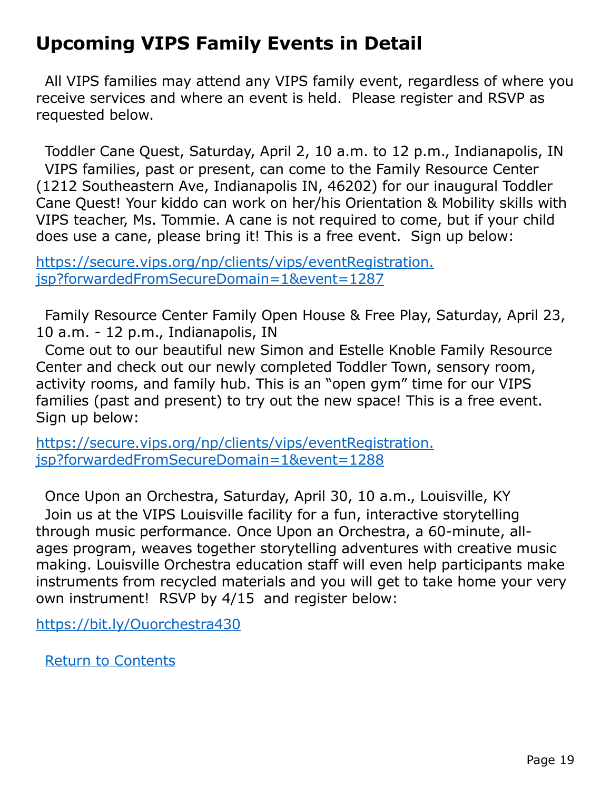# <span id="page-18-0"></span>**Upcoming VIPS Family Events in Detail**

All VIPS families may attend any VIPS family event, regardless of where you receive services and where an event is held. Please register and RSVP as requested below.

Toddler Cane Quest, Saturday, April 2, 10 a.m. to 12 p.m., Indianapolis, IN VIPS families, past or present, can come to the Family Resource Center (1212 Southeastern Ave, Indianapolis IN, 46202) for our inaugural Toddler Cane Quest! Your kiddo can work on her/his Orientation & Mobility skills with VIPS teacher, Ms. Tommie. A cane is not required to come, but if your child does use a cane, please bring it! This is a free event. Sign up below:

[https://secure.vips.org/np/clients/vips/eventRegistration.](https://secure.vips.org/np/clients/vips/eventRegistration.jsp?forwardedFromSecureDomain=1&event=1287) [jsp?forwardedFromSecureDomain=1&event=1287](https://secure.vips.org/np/clients/vips/eventRegistration.jsp?forwardedFromSecureDomain=1&event=1287)

Family Resource Center Family Open House & Free Play, Saturday, April 23, 10 a.m. - 12 p.m., Indianapolis, IN

Come out to our beautiful new Simon and Estelle Knoble Family Resource Center and check out our newly completed Toddler Town, sensory room, activity rooms, and family hub. This is an "open gym" time for our VIPS families (past and present) to try out the new space! This is a free event. Sign up below:

[https://secure.vips.org/np/clients/vips/eventRegistration.](https://secure.vips.org/np/clients/vips/eventRegistration.jsp?forwardedFromSecureDomain=1&event=1288) [jsp?forwardedFromSecureDomain=1&event=1288](https://secure.vips.org/np/clients/vips/eventRegistration.jsp?forwardedFromSecureDomain=1&event=1288)

Once Upon an Orchestra, Saturday, April 30, 10 a.m., Louisville, KY Join us at the VIPS Louisville facility for a fun, interactive storytelling through music performance. Once Upon an Orchestra, a 60-minute, allages program, weaves together storytelling adventures with creative music making. Louisville Orchestra education staff will even help participants make instruments from recycled materials and you will get to take home your very own instrument! RSVP by 4/15 and register below:

<https://bit.ly/Ouorchestra430>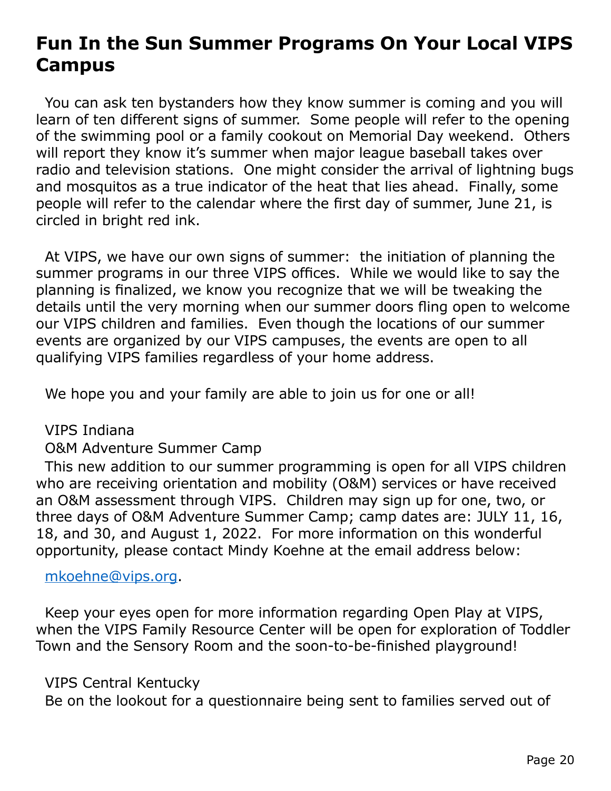# <span id="page-19-0"></span>**Fun In the Sun Summer Programs On Your Local VIPS Campus**

You can ask ten bystanders how they know summer is coming and you will learn of ten different signs of summer. Some people will refer to the opening of the swimming pool or a family cookout on Memorial Day weekend. Others will report they know it's summer when major league baseball takes over radio and television stations. One might consider the arrival of lightning bugs and mosquitos as a true indicator of the heat that lies ahead. Finally, some people will refer to the calendar where the first day of summer, June 21, is circled in bright red ink.

At VIPS, we have our own signs of summer: the initiation of planning the summer programs in our three VIPS offices. While we would like to say the planning is finalized, we know you recognize that we will be tweaking the details until the very morning when our summer doors fling open to welcome our VIPS children and families. Even though the locations of our summer events are organized by our VIPS campuses, the events are open to all qualifying VIPS families regardless of your home address.

We hope you and your family are able to join us for one or all!

VIPS Indiana

#### O&M Adventure Summer Camp

This new addition to our summer programming is open for all VIPS children who are receiving orientation and mobility (O&M) services or have received an O&M assessment through VIPS. Children may sign up for one, two, or three days of O&M Adventure Summer Camp; camp dates are: JULY 11, 16, 18, and 30, and August 1, 2022. For more information on this wonderful opportunity, please contact Mindy Koehne at the email address below:

#### [mkoehne@vips.org.](mailto:mkoehne%40vips.org?subject=)

Keep your eyes open for more information regarding Open Play at VIPS, when the VIPS Family Resource Center will be open for exploration of Toddler Town and the Sensory Room and the soon-to-be-finished playground!

#### VIPS Central Kentucky

Be on the lookout for a questionnaire being sent to families served out of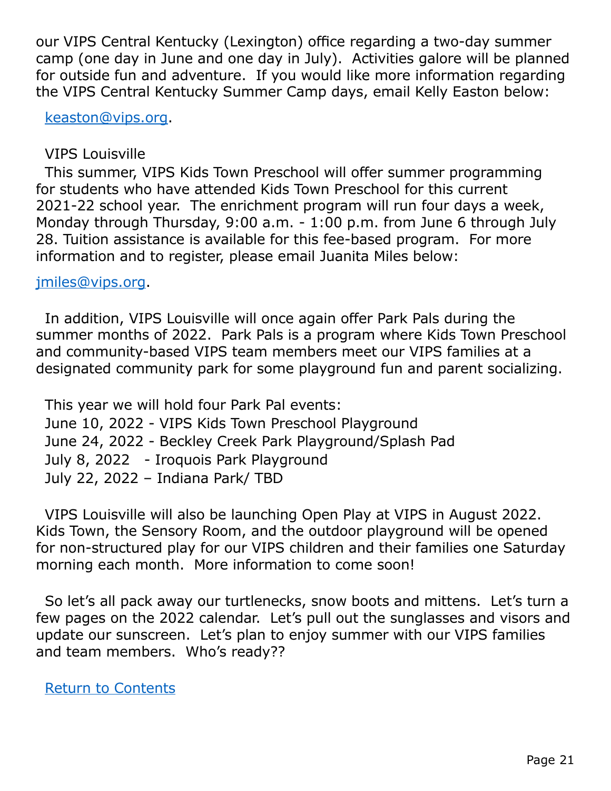our VIPS Central Kentucky (Lexington) office regarding a two-day summer camp (one day in June and one day in July). Activities galore will be planned for outside fun and adventure. If you would like more information regarding the VIPS Central Kentucky Summer Camp days, email Kelly Easton below:

[keaston@vips.org](mailto:keaston%40vips.org?subject=).

VIPS Louisville

This summer, VIPS Kids Town Preschool will offer summer programming for students who have attended Kids Town Preschool for this current 2021-22 school year. The enrichment program will run four days a week, Monday through Thursday, 9:00 a.m. - 1:00 p.m. from June 6 through July 28. Tuition assistance is available for this fee-based program. For more information and to register, please email Juanita Miles below:

[jmiles@vips.org](mailto:jmiles%40vips.org?subject=).

In addition, VIPS Louisville will once again offer Park Pals during the summer months of 2022. Park Pals is a program where Kids Town Preschool and community-based VIPS team members meet our VIPS families at a designated community park for some playground fun and parent socializing.

This year we will hold four Park Pal events: June 10, 2022 - VIPS Kids Town Preschool Playground June 24, 2022 - Beckley Creek Park Playground/Splash Pad July 8, 2022 - Iroquois Park Playground July 22, 2022 – Indiana Park/ TBD

VIPS Louisville will also be launching Open Play at VIPS in August 2022. Kids Town, the Sensory Room, and the outdoor playground will be opened for non-structured play for our VIPS children and their families one Saturday morning each month. More information to come soon!

So let's all pack away our turtlenecks, snow boots and mittens. Let's turn a few pages on the 2022 calendar. Let's pull out the sunglasses and visors and update our sunscreen. Let's plan to enjoy summer with our VIPS families and team members. Who's ready??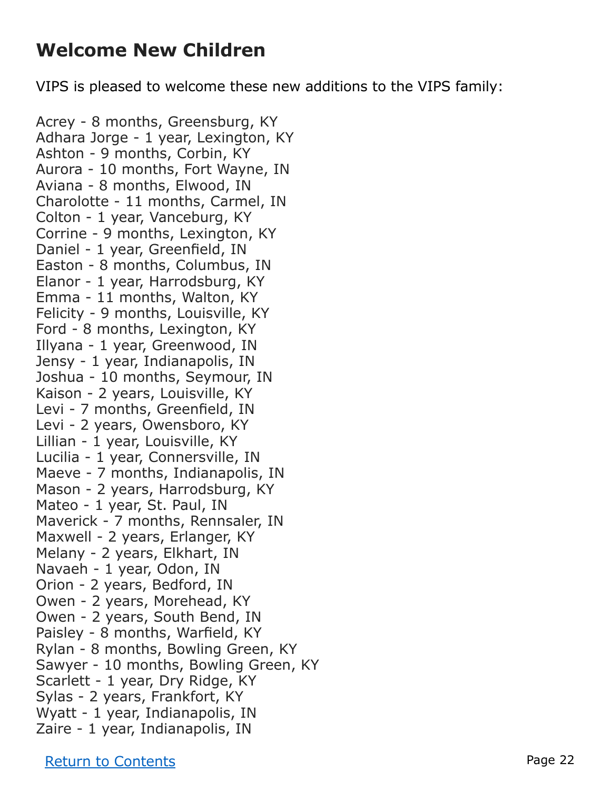### **Welcome New Children**

VIPS is pleased to welcome these new additions to the VIPS family:

Acrey - 8 months, Greensburg, KY Adhara Jorge - 1 year, Lexington, KY Ashton - 9 months, Corbin, KY Aurora - 10 months, Fort Wayne, IN Aviana - 8 months, Elwood, IN Charolotte - 11 months, Carmel, IN Colton - 1 year, Vanceburg, KY Corrine - 9 months, Lexington, KY Daniel - 1 year, Greenfield, IN Easton - 8 months, Columbus, IN Elanor - 1 year, Harrodsburg, KY Emma - 11 months, Walton, KY Felicity - 9 months, Louisville, KY Ford - 8 months, Lexington, KY Illyana - 1 year, Greenwood, IN Jensy - 1 year, Indianapolis, IN Joshua - 10 months, Seymour, IN Kaison - 2 years, Louisville, KY Levi - 7 months, Greenfield, IN Levi - 2 years, Owensboro, KY Lillian - 1 year, Louisville, KY Lucilia - 1 year, Connersville, IN Maeve - 7 months, Indianapolis, IN Mason - 2 years, Harrodsburg, KY Mateo - 1 year, St. Paul, IN Maverick - 7 months, Rennsaler, IN Maxwell - 2 years, Erlanger, KY Melany - 2 years, Elkhart, IN Navaeh - 1 year, Odon, IN Orion - 2 years, Bedford, IN Owen - 2 years, Morehead, KY Owen - 2 years, South Bend, IN Paisley - 8 months, Warfield, KY Rylan - 8 months, Bowling Green, KY Sawyer - 10 months, Bowling Green, KY Scarlett - 1 year, Dry Ridge, KY Sylas - 2 years, Frankfort, KY Wyatt - 1 year, Indianapolis, IN Zaire - 1 year, Indianapolis, IN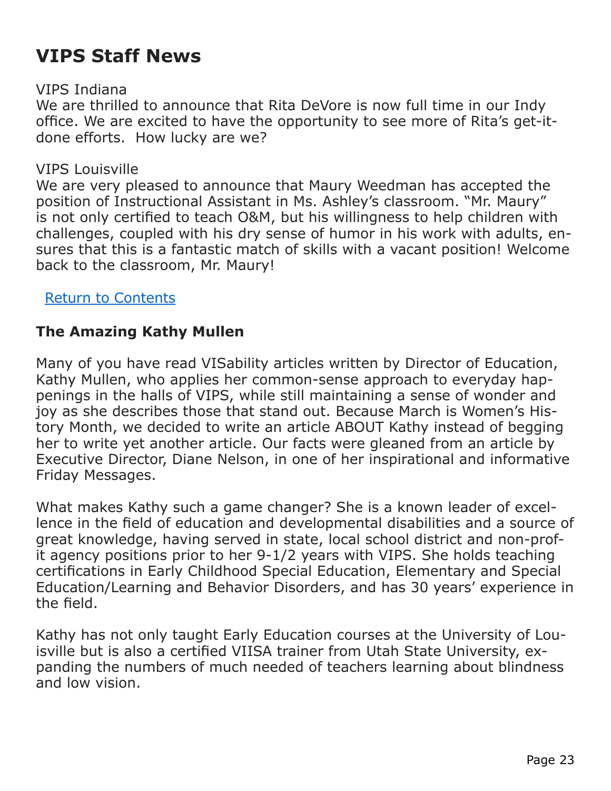# <span id="page-22-0"></span>**VIPS Staff News**

#### VIPS Indiana

We are thrilled to announce that Rita DeVore is now full time in our Indy office. We are excited to have the opportunity to see more of Rita's get-itdone efforts. How lucky are we?

#### VIPS Louisville

We are very pleased to announce that Maury Weedman has accepted the position of Instructional Assistant in Ms. Ashley's classroom. "Mr. Maury" is not only certified to teach O&M, but his willingness to help children with challenges, coupled with his dry sense of humor in his work with adults, ensures that this is a fantastic match of skills with a vacant position! Welcome back to the classroom, Mr. Maury!

#### [Return to Contents](#page-0-1)

### <span id="page-22-1"></span>**The Amazing Kathy Mullen**

Many of you have read VISability articles written by Director of Education, Kathy Mullen, who applies her common-sense approach to everyday happenings in the halls of VIPS, while still maintaining a sense of wonder and joy as she describes those that stand out. Because March is Women's History Month, we decided to write an article ABOUT Kathy instead of begging her to write yet another article. Our facts were gleaned from an article by Executive Director, Diane Nelson, in one of her inspirational and informative Friday Messages.

What makes Kathy such a game changer? She is a known leader of excellence in the field of education and developmental disabilities and a source of great knowledge, having served in state, local school district and non-profit agency positions prior to her 9-1/2 years with VIPS. She holds teaching certifications in Early Childhood Special Education, Elementary and Special Education/Learning and Behavior Disorders, and has 30 years' experience in the field.

Kathy has not only taught Early Education courses at the University of Louisville but is also a certified VIISA trainer from Utah State University, expanding the numbers of much needed of teachers learning about blindness and low vision.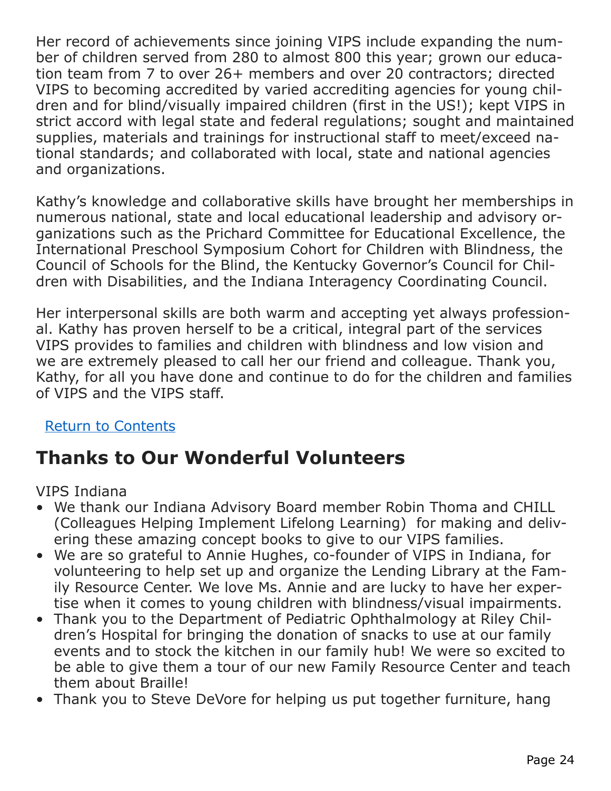Her record of achievements since joining VIPS include expanding the number of children served from 280 to almost 800 this year; grown our education team from 7 to over 26+ members and over 20 contractors; directed VIPS to becoming accredited by varied accrediting agencies for young children and for blind/visually impaired children (first in the US!); kept VIPS in strict accord with legal state and federal regulations; sought and maintained supplies, materials and trainings for instructional staff to meet/exceed national standards; and collaborated with local, state and national agencies and organizations.

Kathy's knowledge and collaborative skills have brought her memberships in numerous national, state and local educational leadership and advisory organizations such as the Prichard Committee for Educational Excellence, the International Preschool Symposium Cohort for Children with Blindness, the Council of Schools for the Blind, the Kentucky Governor's Council for Children with Disabilities, and the Indiana Interagency Coordinating Council.

Her interpersonal skills are both warm and accepting yet always professional. Kathy has proven herself to be a critical, integral part of the services VIPS provides to families and children with blindness and low vision and we are extremely pleased to call her our friend and colleague. Thank you, Kathy, for all you have done and continue to do for the children and families of VIPS and the VIPS staff.

#### [Return to Contents](#page-0-1)

# <span id="page-23-0"></span>**Thanks to Our Wonderful Volunteers**

VIPS Indiana

- We thank our Indiana Advisory Board member Robin Thoma and CHILL (Colleagues Helping Implement Lifelong Learning) for making and delivering these amazing concept books to give to our VIPS families.
- We are so grateful to Annie Hughes, co-founder of VIPS in Indiana, for volunteering to help set up and organize the Lending Library at the Family Resource Center. We love Ms. Annie and are lucky to have her expertise when it comes to young children with blindness/visual impairments.
- Thank you to the Department of Pediatric Ophthalmology at Riley Children's Hospital for bringing the donation of snacks to use at our family events and to stock the kitchen in our family hub! We were so excited to be able to give them a tour of our new Family Resource Center and teach them about Braille!
- Thank you to Steve DeVore for helping us put together furniture, hang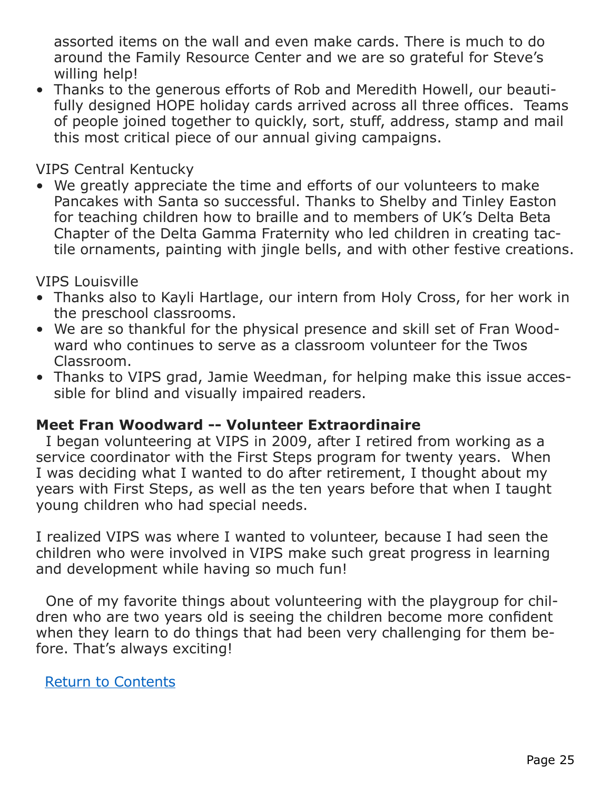assorted items on the wall and even make cards. There is much to do around the Family Resource Center and we are so grateful for Steve's willing help!

• Thanks to the generous efforts of Rob and Meredith Howell, our beautifully designed HOPE holiday cards arrived across all three offices. Teams of people joined together to quickly, sort, stuff, address, stamp and mail this most critical piece of our annual giving campaigns.

VIPS Central Kentucky

• We greatly appreciate the time and efforts of our volunteers to make Pancakes with Santa so successful. Thanks to Shelby and Tinley Easton for teaching children how to braille and to members of UK's Delta Beta Chapter of the Delta Gamma Fraternity who led children in creating tactile ornaments, painting with jingle bells, and with other festive creations.

VIPS Louisville

- Thanks also to Kayli Hartlage, our intern from Holy Cross, for her work in the preschool classrooms.
- We are so thankful for the physical presence and skill set of Fran Woodward who continues to serve as a classroom volunteer for the Twos Classroom.
- Thanks to VIPS grad, Jamie Weedman, for helping make this issue accessible for blind and visually impaired readers.

#### **Meet Fran Woodward -- Volunteer Extraordinaire**

 I began volunteering at VIPS in 2009, after I retired from working as a service coordinator with the First Steps program for twenty years. When I was deciding what I wanted to do after retirement, I thought about my years with First Steps, as well as the ten years before that when I taught young children who had special needs.

I realized VIPS was where I wanted to volunteer, because I had seen the children who were involved in VIPS make such great progress in learning and development while having so much fun!

 One of my favorite things about volunteering with the playgroup for children who are two years old is seeing the children become more confident when they learn to do things that had been very challenging for them before. That's always exciting!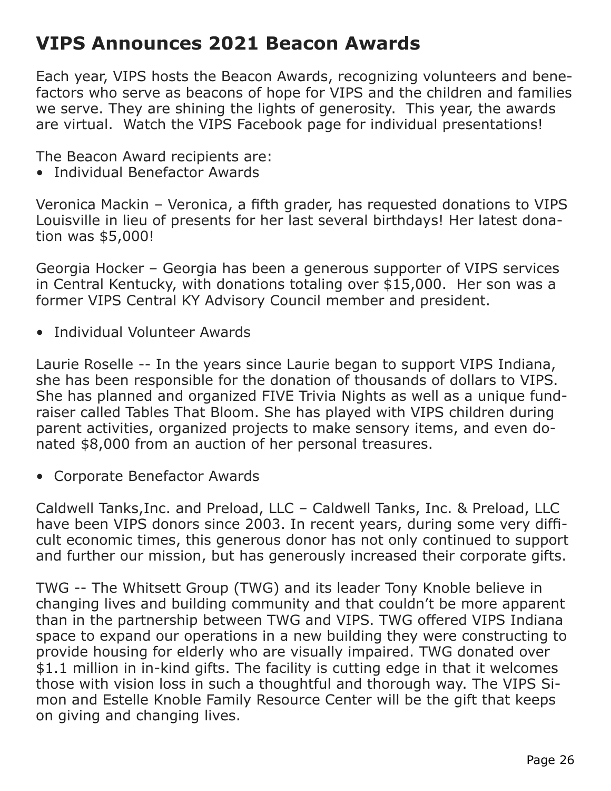### <span id="page-25-0"></span>**VIPS Announces 2021 Beacon Awards**

Each year, VIPS hosts the Beacon Awards, recognizing volunteers and benefactors who serve as beacons of hope for VIPS and the children and families we serve. They are shining the lights of generosity. This year, the awards are virtual. Watch the VIPS Facebook page for individual presentations!

The Beacon Award recipients are:

• Individual Benefactor Awards

Veronica Mackin – Veronica, a fifth grader, has requested donations to VIPS Louisville in lieu of presents for her last several birthdays! Her latest donation was \$5,000!

Georgia Hocker – Georgia has been a generous supporter of VIPS services in Central Kentucky, with donations totaling over \$15,000. Her son was a former VIPS Central KY Advisory Council member and president.

• Individual Volunteer Awards

Laurie Roselle -- In the years since Laurie began to support VIPS Indiana, she has been responsible for the donation of thousands of dollars to VIPS. She has planned and organized FIVE Trivia Nights as well as a unique fundraiser called Tables That Bloom. She has played with VIPS children during parent activities, organized projects to make sensory items, and even donated \$8,000 from an auction of her personal treasures.

• Corporate Benefactor Awards

Caldwell Tanks,Inc. and Preload, LLC – Caldwell Tanks, Inc. & Preload, LLC have been VIPS donors since 2003. In recent years, during some very difficult economic times, this generous donor has not only continued to support and further our mission, but has generously increased their corporate gifts.

TWG -- The Whitsett Group (TWG) and its leader Tony Knoble believe in changing lives and building community and that couldn't be more apparent than in the partnership between TWG and VIPS. TWG offered VIPS Indiana space to expand our operations in a new building they were constructing to provide housing for elderly who are visually impaired. TWG donated over \$1.1 million in in-kind gifts. The facility is cutting edge in that it welcomes those with vision loss in such a thoughtful and thorough way. The VIPS Simon and Estelle Knoble Family Resource Center will be the gift that keeps on giving and changing lives.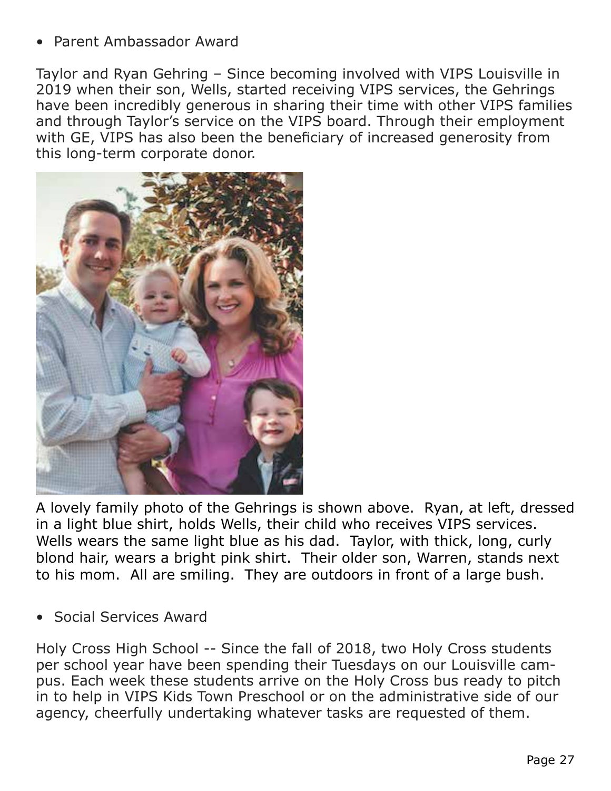• Parent Ambassador Award

Taylor and Ryan Gehring – Since becoming involved with VIPS Louisville in 2019 when their son, Wells, started receiving VIPS services, the Gehrings have been incredibly generous in sharing their time with other VIPS families and through Taylor's service on the VIPS board. Through their employment with GE, VIPS has also been the beneficiary of increased generosity from this long-term corporate donor.



A lovely family photo of the Gehrings is shown above. Ryan, at left, dressed in a light blue shirt, holds Wells, their child who receives VIPS services. Wells wears the same light blue as his dad. Taylor, with thick, long, curly blond hair, wears a bright pink shirt. Their older son, Warren, stands next to his mom. All are smiling. They are outdoors in front of a large bush.

• Social Services Award

Holy Cross High School -- Since the fall of 2018, two Holy Cross students per school year have been spending their Tuesdays on our Louisville campus. Each week these students arrive on the Holy Cross bus ready to pitch in to help in VIPS Kids Town Preschool or on the administrative side of our agency, cheerfully undertaking whatever tasks are requested of them.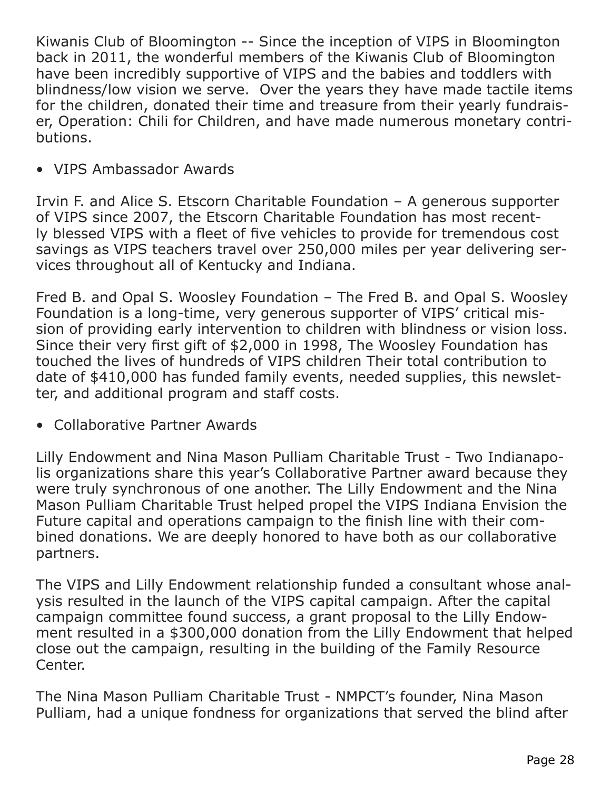Kiwanis Club of Bloomington -- Since the inception of VIPS in Bloomington back in 2011, the wonderful members of the Kiwanis Club of Bloomington have been incredibly supportive of VIPS and the babies and toddlers with blindness/low vision we serve. Over the years they have made tactile items for the children, donated their time and treasure from their yearly fundraiser, Operation: Chili for Children, and have made numerous monetary contributions.

• VIPS Ambassador Awards

Irvin F. and Alice S. Etscorn Charitable Foundation – A generous supporter of VIPS since 2007, the Etscorn Charitable Foundation has most recently blessed VIPS with a fleet of five vehicles to provide for tremendous cost savings as VIPS teachers travel over 250,000 miles per year delivering services throughout all of Kentucky and Indiana.

Fred B. and Opal S. Woosley Foundation – The Fred B. and Opal S. Woosley Foundation is a long-time, very generous supporter of VIPS' critical mission of providing early intervention to children with blindness or vision loss. Since their very first gift of \$2,000 in 1998, The Woosley Foundation has touched the lives of hundreds of VIPS children Their total contribution to date of \$410,000 has funded family events, needed supplies, this newsletter, and additional program and staff costs.

• Collaborative Partner Awards

Lilly Endowment and Nina Mason Pulliam Charitable Trust - Two Indianapolis organizations share this year's Collaborative Partner award because they were truly synchronous of one another. The Lilly Endowment and the Nina Mason Pulliam Charitable Trust helped propel the VIPS Indiana Envision the Future capital and operations campaign to the finish line with their combined donations. We are deeply honored to have both as our collaborative partners.

The VIPS and Lilly Endowment relationship funded a consultant whose analysis resulted in the launch of the VIPS capital campaign. After the capital campaign committee found success, a grant proposal to the Lilly Endowment resulted in a \$300,000 donation from the Lilly Endowment that helped close out the campaign, resulting in the building of the Family Resource Center.

The Nina Mason Pulliam Charitable Trust - NMPCT's founder, Nina Mason Pulliam, had a unique fondness for organizations that served the blind after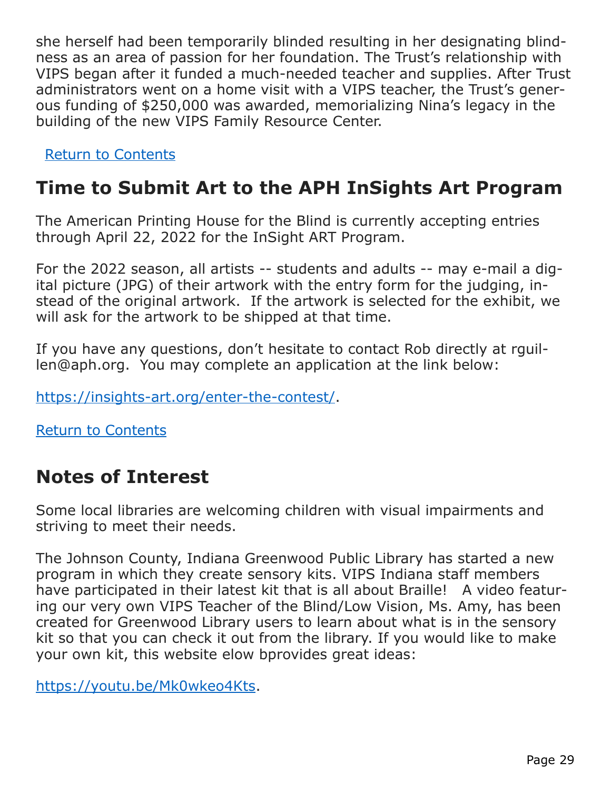she herself had been temporarily blinded resulting in her designating blindness as an area of passion for her foundation. The Trust's relationship with VIPS began after it funded a much-needed teacher and supplies. After Trust administrators went on a home visit with a VIPS teacher, the Trust's generous funding of \$250,000 was awarded, memorializing Nina's legacy in the building of the new VIPS Family Resource Center.

[Return to Contents](#page-0-1)

# <span id="page-28-0"></span>**Time to Submit Art to the APH InSights Art Program**

The American Printing House for the Blind is currently accepting entries through April 22, 2022 for the InSight ART Program.

For the 2022 season, all artists -- students and adults -- may e-mail a digital picture (JPG) of their artwork with the entry form for the judging, instead of the original artwork. If the artwork is selected for the exhibit, we will ask for the artwork to be shipped at that time.

If you have any questions, don't hesitate to contact Rob directly at rguillen@aph.org. You may complete an application at the link below:

[https://insights-art.org/enter-the-contest/.](https://insights-art.org/enter-the-contest/)

[Return to Contents](#page-0-1)

# <span id="page-28-1"></span>**Notes of Interest**

Some local libraries are welcoming children with visual impairments and striving to meet their needs.

The Johnson County, Indiana Greenwood Public Library has started a new program in which they create sensory kits. VIPS Indiana staff members have participated in their latest kit that is all about Braille! A video featuring our very own VIPS Teacher of the Blind/Low Vision, Ms. Amy, has been created for Greenwood Library users to learn about what is in the sensory kit so that you can check it out from the library. If you would like to make your own kit, this website elow bprovides great ideas:

<https://youtu.be/Mk0wkeo4Kts>.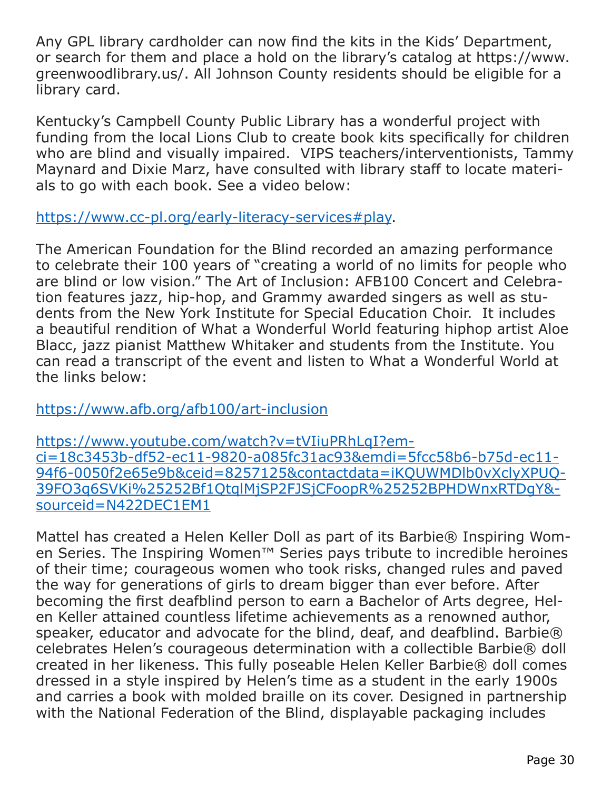Any GPL library cardholder can now find the kits in the Kids' Department, or search for them and place a hold on the library's catalog at https://www. greenwoodlibrary.us/. All Johnson County residents should be eligible for a library card.

Kentucky's Campbell County Public Library has a wonderful project with funding from the local Lions Club to create book kits specifically for children who are blind and visually impaired. VIPS teachers/interventionists, Tammy Maynard and Dixie Marz, have consulted with library staff to locate materials to go with each book. See a video below:

<https://www.cc-pl.org/early-literacy-services#play>.

The American Foundation for the Blind recorded an amazing performance to celebrate their 100 years of "creating a world of no limits for people who are blind or low vision." The Art of Inclusion: AFB100 Concert and Celebration features jazz, hip-hop, and Grammy awarded singers as well as students from the New York Institute for Special Education Choir. It includes a beautiful rendition of What a Wonderful World featuring hiphop artist Aloe Blacc, jazz pianist Matthew Whitaker and students from the Institute. You can read a transcript of the event and listen to What a Wonderful World at the links below:

<https://www.afb.org/afb100/art-inclusion>

[https://www.youtube.com/watch?v=tVIiuPRhLqI?em](https://www.youtube.com/watch?v=tVIiuPRhLqI?emci=18c3453b-df52-ec11-9820-a085fc31ac93&emdi=5fcc58b6-)[ci=18c3453b-df52-ec11-9820-a085fc31ac93&emdi=5fcc58b6-b75d-ec11-](https://www.youtube.com/watch?v=tVIiuPRhLqI?emci=18c3453b-df52-ec11-9820-a085fc31ac93&emdi=5fcc58b6-) [94f6-0050f2e65e9b&ceid=8257125&contactdata=iKQUWMDlb0vXclyXPUQ-](https://www.youtube.com/watch?v=tVIiuPRhLqI?emci=18c3453b-df52-ec11-9820-a085fc31ac93&emdi=5fcc58b6-)[39FO3q6SVKi%25252Bf1QtqlMjSP2FJSjCFoopR%25252BPHDWnxRTDgY&](https://www.youtube.com/watch?v=tVIiuPRhLqI?emci=18c3453b-df52-ec11-9820-a085fc31ac93&emdi=5fcc58b6-) [sourceid=N422DEC1EM1](https://www.youtube.com/watch?v=tVIiuPRhLqI?emci=18c3453b-df52-ec11-9820-a085fc31ac93&emdi=5fcc58b6-)

Mattel has created a Helen Keller Doll as part of its Barbie® Inspiring Women Series. The Inspiring Women<sup>™</sup> Series pays tribute to incredible heroines of their time; courageous women who took risks, changed rules and paved the way for generations of girls to dream bigger than ever before. After becoming the first deafblind person to earn a Bachelor of Arts degree, Helen Keller attained countless lifetime achievements as a renowned author, speaker, educator and advocate for the blind, deaf, and deafblind. Barbie® celebrates Helen's courageous determination with a collectible Barbie® doll created in her likeness. This fully poseable Helen Keller Barbie® doll comes dressed in a style inspired by Helen's time as a student in the early 1900s and carries a book with molded braille on its cover. Designed in partnership with the National Federation of the Blind, displayable packaging includes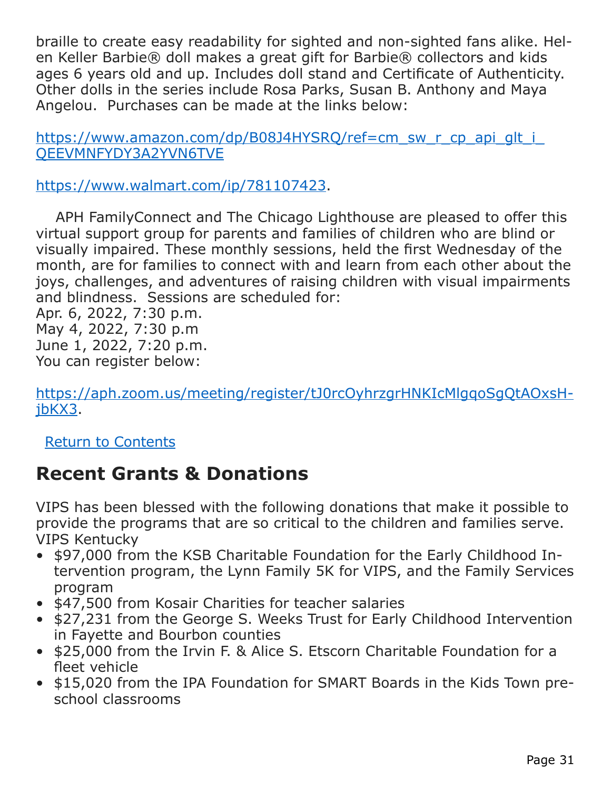braille to create easy readability for sighted and non-sighted fans alike. Helen Keller Barbie® doll makes a great gift for Barbie® collectors and kids ages 6 years old and up. Includes doll stand and Certificate of Authenticity. Other dolls in the series include Rosa Parks, Susan B. Anthony and Maya Angelou. Purchases can be made at the links below:

https://www.amazon.com/dp/B08J4HYSRO/ref=cm\_sw\_r\_cp\_api\_glt\_i [QEEVMNFYDY3A2YVN6TVE](https://www.amazon.com/dp/B08J4HYSRQ/ref=cm_sw_r_cp_api_glt_i_QEEVMNFYDY3A2YVN6TVE)

[https://www.walmart.com/ip/781107423.](https://www.walmart.com/ip/781107423)

 APH FamilyConnect and The Chicago Lighthouse are pleased to offer this virtual support group for parents and families of children who are blind or visually impaired. These monthly sessions, held the first Wednesday of the month, are for families to connect with and learn from each other about the joys, challenges, and adventures of raising children with visual impairments and blindness. Sessions are scheduled for: Apr. 6, 2022, 7:30 p.m.

May 4, 2022, 7:30 p.m June 1, 2022, 7:20 p.m. You can register below:

[https://aph.zoom.us/meeting/register/tJ0rcOyhrzgrHNKIcMlgqoSgQtAOxsH](https://aph.zoom.us/meeting/register/tJ0rcOyhrzgrHNKIcMlgqoSgQtAOxsHjbKX3)[jbKX3.](https://aph.zoom.us/meeting/register/tJ0rcOyhrzgrHNKIcMlgqoSgQtAOxsHjbKX3)

[Return to Contents](#page-0-1)

# <span id="page-30-0"></span>**Recent Grants & Donations**

VIPS has been blessed with the following donations that make it possible to provide the programs that are so critical to the children and families serve. VIPS Kentucky

- \$97,000 from the KSB Charitable Foundation for the Early Childhood Intervention program, the Lynn Family 5K for VIPS, and the Family Services program
- \$47,500 from Kosair Charities for teacher salaries
- \$27,231 from the George S. Weeks Trust for Early Childhood Intervention in Fayette and Bourbon counties
- \$25,000 from the Irvin F. & Alice S. Etscorn Charitable Foundation for a fleet vehicle
- \$15,020 from the IPA Foundation for SMART Boards in the Kids Town preschool classrooms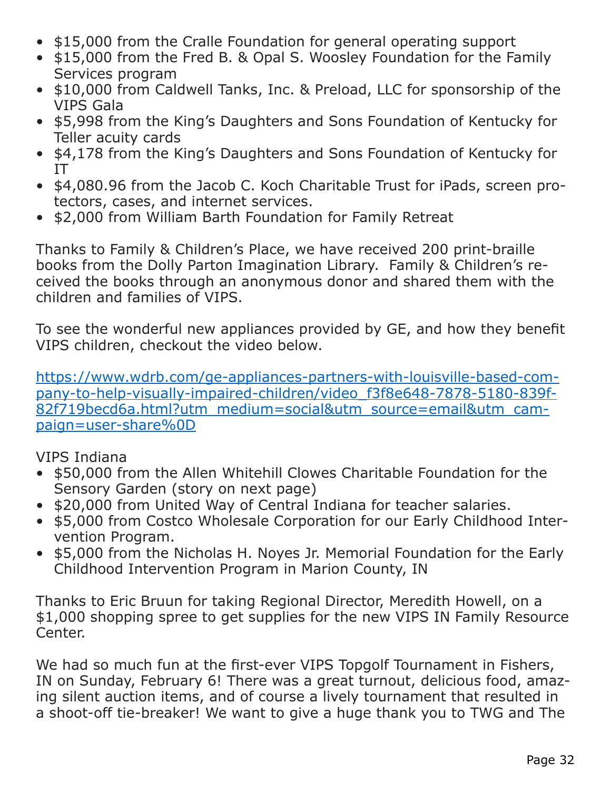- \$15,000 from the Cralle Foundation for general operating support
- \$15,000 from the Fred B. & Opal S. Woosley Foundation for the Family Services program
- \$10,000 from Caldwell Tanks, Inc. & Preload, LLC for sponsorship of the VIPS Gala
- \$5,998 from the King's Daughters and Sons Foundation of Kentucky for Teller acuity cards
- \$4,178 from the King's Daughters and Sons Foundation of Kentucky for IT
- \$4,080.96 from the Jacob C. Koch Charitable Trust for iPads, screen protectors, cases, and internet services.
- \$2,000 from William Barth Foundation for Family Retreat

Thanks to Family & Children's Place, we have received 200 print-braille books from the Dolly Parton Imagination Library. Family & Children's received the books through an anonymous donor and shared them with the children and families of VIPS.

To see the wonderful new appliances provided by GE, and how they benefit VIPS children, checkout the video below.

[https://www.wdrb.com/ge-appliances-partners-with-louisville-based-com](https://www.wdrb.com/ge-appliances-partners-with-louisville-based-company-to-help-visually-impaired-)[pany-to-help-visually-impaired-children/video\\_f3f8e648-7878-5180-839f-](https://www.wdrb.com/ge-appliances-partners-with-louisville-based-company-to-help-visually-impaired-)[82f719becd6a.html?utm\\_medium=social&utm\\_source=email&utm\\_cam](https://www.wdrb.com/ge-appliances-partners-with-louisville-based-company-to-help-visually-impaired-)[paign=user-share%0D](https://www.wdrb.com/ge-appliances-partners-with-louisville-based-company-to-help-visually-impaired-)

### VIPS Indiana

- \$50,000 from the Allen Whitehill Clowes Charitable Foundation for the Sensory Garden (story on next page)
- \$20,000 from United Way of Central Indiana for teacher salaries.
- \$5,000 from Costco Wholesale Corporation for our Early Childhood Intervention Program.
- \$5,000 from the Nicholas H. Noyes Jr. Memorial Foundation for the Early Childhood Intervention Program in Marion County, IN

Thanks to Eric Bruun for taking Regional Director, Meredith Howell, on a \$1,000 shopping spree to get supplies for the new VIPS IN Family Resource Center.

We had so much fun at the first-ever VIPS Topgolf Tournament in Fishers, IN on Sunday, February 6! There was a great turnout, delicious food, amazing silent auction items, and of course a lively tournament that resulted in a shoot-off tie-breaker! We want to give a huge thank you to TWG and The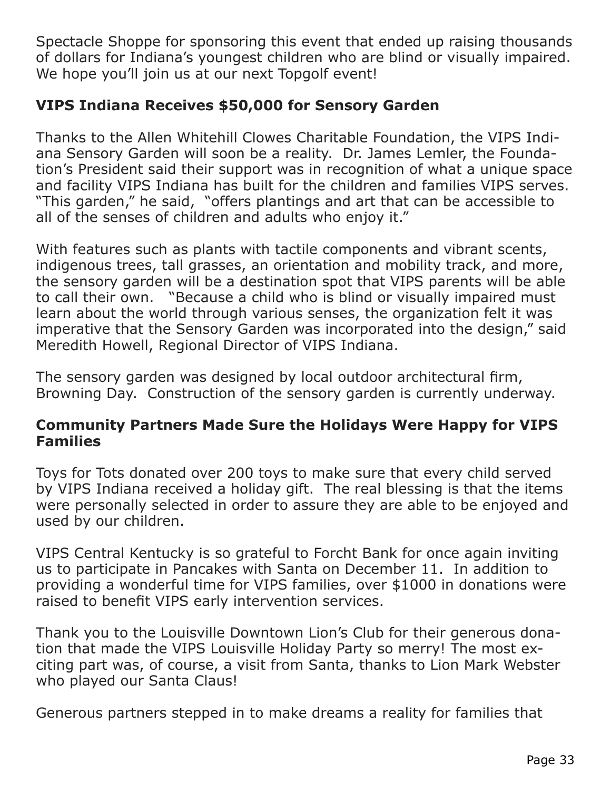Spectacle Shoppe for sponsoring this event that ended up raising thousands of dollars for Indiana's youngest children who are blind or visually impaired. We hope you'll join us at our next Topgolf event!

### **VIPS Indiana Receives \$50,000 for Sensory Garden**

Thanks to the Allen Whitehill Clowes Charitable Foundation, the VIPS Indiana Sensory Garden will soon be a reality. Dr. James Lemler, the Foundation's President said their support was in recognition of what a unique space and facility VIPS Indiana has built for the children and families VIPS serves. "This garden," he said, "offers plantings and art that can be accessible to all of the senses of children and adults who enjoy it."

With features such as plants with tactile components and vibrant scents, indigenous trees, tall grasses, an orientation and mobility track, and more, the sensory garden will be a destination spot that VIPS parents will be able to call their own. "Because a child who is blind or visually impaired must learn about the world through various senses, the organization felt it was imperative that the Sensory Garden was incorporated into the design," said Meredith Howell, Regional Director of VIPS Indiana.

The sensory garden was designed by local outdoor architectural firm, Browning Day. Construction of the sensory garden is currently underway.

### **Community Partners Made Sure the Holidays Were Happy for VIPS Families**

Toys for Tots donated over 200 toys to make sure that every child served by VIPS Indiana received a holiday gift. The real blessing is that the items were personally selected in order to assure they are able to be enjoyed and used by our children.

VIPS Central Kentucky is so grateful to Forcht Bank for once again inviting us to participate in Pancakes with Santa on December 11. In addition to providing a wonderful time for VIPS families, over \$1000 in donations were raised to benefit VIPS early intervention services.

Thank you to the Louisville Downtown Lion's Club for their generous donation that made the VIPS Louisville Holiday Party so merry! The most exciting part was, of course, a visit from Santa, thanks to Lion Mark Webster who played our Santa Claus!

Generous partners stepped in to make dreams a reality for families that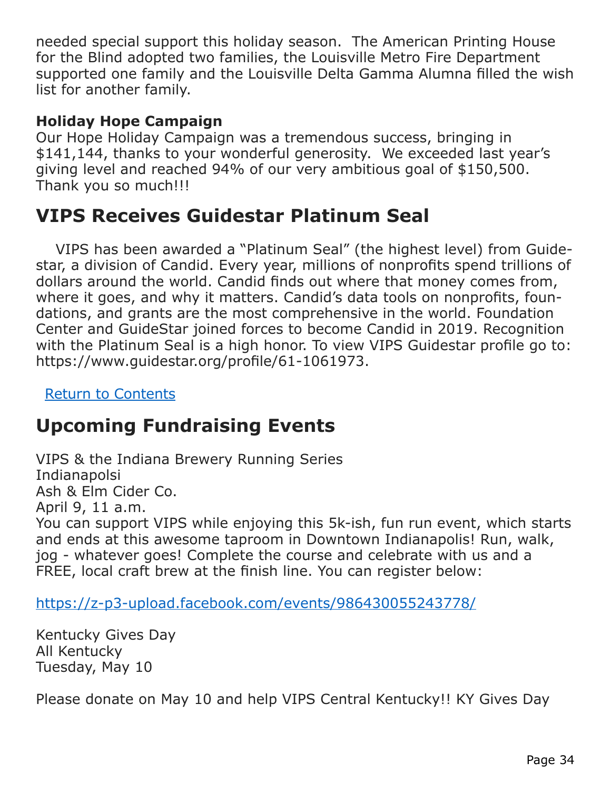needed special support this holiday season. The American Printing House for the Blind adopted two families, the Louisville Metro Fire Department supported one family and the Louisville Delta Gamma Alumna filled the wish list for another family.

### **Holiday Hope Campaign**

Our Hope Holiday Campaign was a tremendous success, bringing in \$141,144, thanks to your wonderful generosity. We exceeded last year's giving level and reached 94% of our very ambitious goal of \$150,500. Thank you so much!!!

### **VIPS Receives Guidestar Platinum Seal**

 VIPS has been awarded a "Platinum Seal" (the highest level) from Guidestar, a division of Candid. Every year, millions of nonprofits spend trillions of dollars around the world. Candid finds out where that money comes from, where it goes, and why it matters. Candid's data tools on nonprofits, foundations, and grants are the most comprehensive in the world. Foundation Center and GuideStar joined forces to become Candid in 2019. Recognition with the Platinum Seal is a high honor. To view VIPS Guidestar profile go to: https://www.guidestar.org/profile/61-1061973.

[Return to Contents](#page-0-1)

# <span id="page-33-0"></span>**Upcoming Fundraising Events**

VIPS & the Indiana Brewery Running Series Indianapolsi Ash & Elm Cider Co. April 9, 11 a.m. You can support VIPS while enjoying this 5k-ish, fun run event, which starts and ends at this awesome taproom in Downtown Indianapolis! Run, walk, jog - whatever goes! Complete the course and celebrate with us and a FREE, local craft brew at the finish line. You can register below:

<https://z-p3-upload.facebook.com/events/986430055243778/>

Kentucky Gives Day All Kentucky Tuesday, May 10

Please donate on May 10 and help VIPS Central Kentucky!! KY Gives Day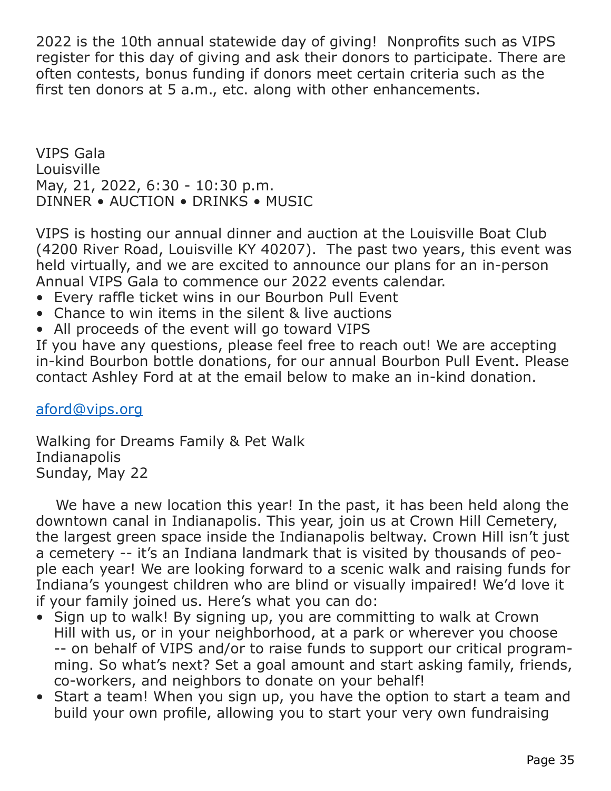2022 is the 10th annual statewide day of giving! Nonprofits such as VIPS register for this day of giving and ask their donors to participate. There are often contests, bonus funding if donors meet certain criteria such as the first ten donors at 5 a.m., etc. along with other enhancements.

VIPS Gala Louisville May, 21, 2022, 6:30 - 10:30 p.m. DINNER • AUCTION • DRINKS • MUSIC

VIPS is hosting our annual dinner and auction at the Louisville Boat Club (4200 River Road, Louisville KY 40207). The past two years, this event was held virtually, and we are excited to announce our plans for an in-person Annual VIPS Gala to commence our 2022 events calendar.

- Every raffle ticket wins in our Bourbon Pull Event
- Chance to win items in the silent & live auctions
- All proceeds of the event will go toward VIPS

If you have any questions, please feel free to reach out! We are accepting in-kind Bourbon bottle donations, for our annual Bourbon Pull Event. Please contact Ashley Ford at at the email below to make an in-kind donation.

#### [aford@vips.org](#page-0-2)

Walking for Dreams Family & Pet Walk Indianapolis Sunday, May 22

 We have a new location this year! In the past, it has been held along the downtown canal in Indianapolis. This year, join us at Crown Hill Cemetery, the largest green space inside the Indianapolis beltway. Crown Hill isn't just a cemetery -- it's an Indiana landmark that is visited by thousands of people each year! We are looking forward to a scenic walk and raising funds for Indiana's youngest children who are blind or visually impaired! We'd love it if your family joined us. Here's what you can do:

- Sign up to walk! By signing up, you are committing to walk at Crown Hill with us, or in your neighborhood, at a park or wherever you choose -- on behalf of VIPS and/or to raise funds to support our critical programming. So what's next? Set a goal amount and start asking family, friends, co-workers, and neighbors to donate on your behalf!
- Start a team! When you sign up, you have the option to start a team and build your own profile, allowing you to start your very own fundraising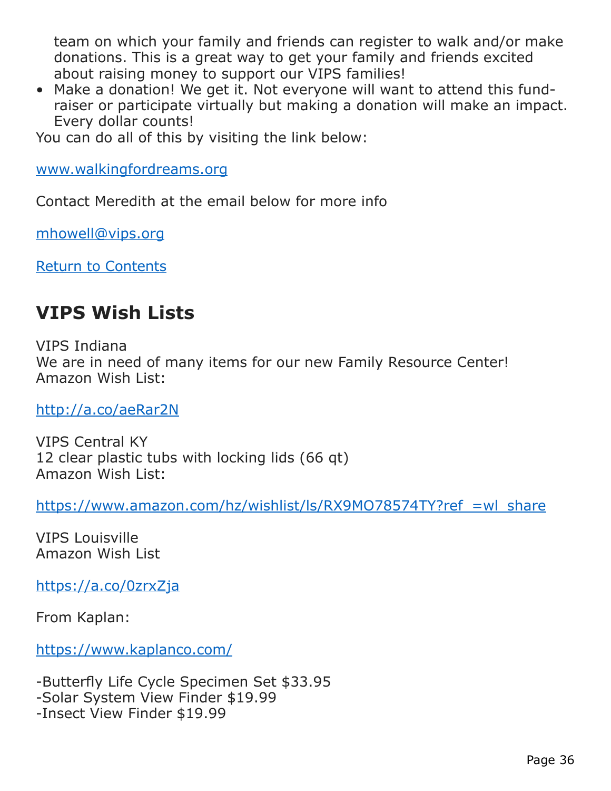team on which your family and friends can register to walk and/or make donations. This is a great way to get your family and friends excited about raising money to support our VIPS families!

• Make a donation! We get it. Not everyone will want to attend this fundraiser or participate virtually but making a donation will make an impact. Every dollar counts!

You can do all of this by visiting the link below:

[www.walkingfordreams.org](http://www.walkingfordreams.org)

Contact Meredith at the email below for more info

[mhowell@vips.org](mailto:mhowell%40vips.org?subject=)

[Return to Contents](#page-0-1)

### <span id="page-35-0"></span>**VIPS Wish Lists**

VIPS Indiana We are in need of many items for our new Family Resource Center! Amazon Wish List:

<http://a.co/aeRar2N>

VIPS Central KY 12 clear plastic tubs with locking lids (66 qt) Amazon Wish List:

[https://www.amazon.com/hz/wishlist/ls/RX9MO78574TY?ref\\_=wl\\_share](https://www.amazon.com/hz/wishlist/ls/RX9MO78574TY?ref_=wl_share )

VIPS Louisville Amazon Wish List

<https://a.co/0zrxZja>

From Kaplan:

<https://www.kaplanco.com/>

-Butterfly Life Cycle Specimen Set \$33.95 -Solar System View Finder \$19.99 -Insect View Finder \$19.99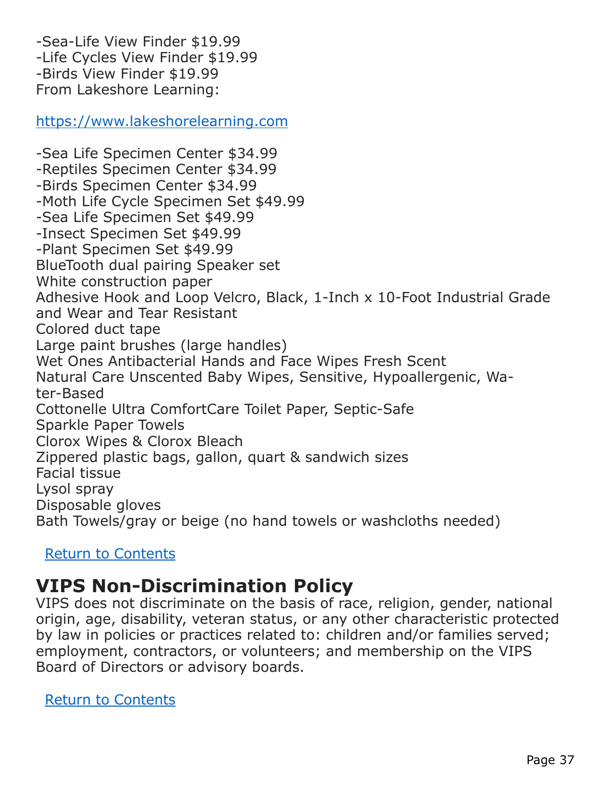-Sea-Life View Finder \$19.99 -Life Cycles View Finder \$19.99 -Birds View Finder \$19.99 From Lakeshore Learning:

<https://www.lakeshorelearning.com>

-Sea Life Specimen Center \$34.99 -Reptiles Specimen Center \$34.99 -Birds Specimen Center \$34.99 -Moth Life Cycle Specimen Set \$49.99 -Sea Life Specimen Set \$49.99 -Insect Specimen Set \$49.99 -Plant Specimen Set \$49.99 BlueTooth dual pairing Speaker set White construction paper Adhesive Hook and Loop Velcro, Black, 1-Inch x 10-Foot Industrial Grade and Wear and Tear Resistant Colored duct tape Large paint brushes (large handles) Wet Ones Antibacterial Hands and Face Wipes Fresh Scent Natural Care Unscented Baby Wipes, Sensitive, Hypoallergenic, Water-Based Cottonelle Ultra ComfortCare Toilet Paper, Septic-Safe Sparkle Paper Towels Clorox Wipes & Clorox Bleach Zippered plastic bags, gallon, quart & sandwich sizes Facial tissue Lysol spray Disposable gloves Bath Towels/gray or beige (no hand towels or washcloths needed)

#### [Return to Contents](#page-0-1)

### <span id="page-36-0"></span>**VIPS Non-Discrimination Policy**

VIPS does not discriminate on the basis of race, religion, gender, national origin, age, disability, veteran status, or any other characteristic protected by law in policies or practices related to: children and/or families served; employment, contractors, or volunteers; and membership on the VIPS Board of Directors or advisory boards.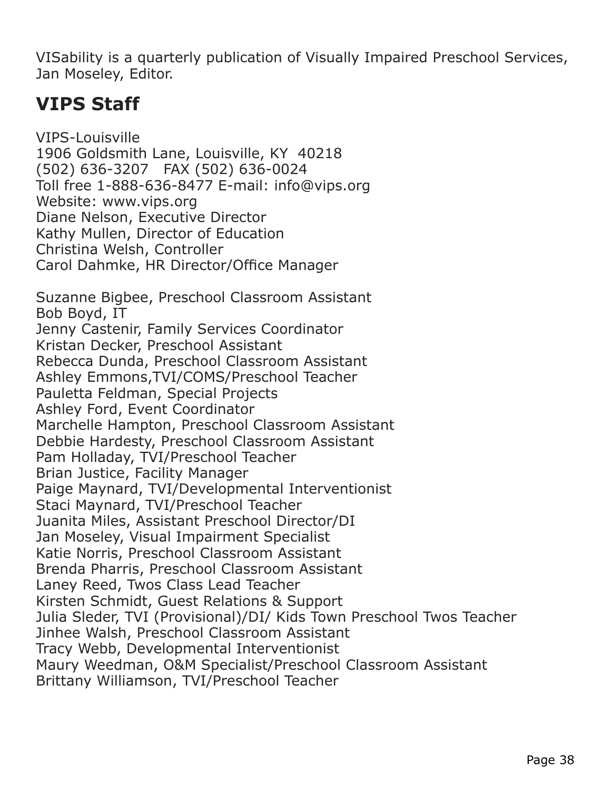VISability is a quarterly publication of Visually Impaired Preschool Services, Jan Moseley, Editor.

# <span id="page-37-0"></span>**VIPS Staff**

VIPS-Louisville 1906 Goldsmith Lane, Louisville, KY 40218 (502) 636-3207 FAX (502) 636-0024 Toll free 1-888-636-8477 E-mail: info@vips.org Website: www.vips.org Diane Nelson, Executive Director Kathy Mullen, Director of Education Christina Welsh, Controller Carol Dahmke, HR Director/Office Manager Suzanne Bigbee, Preschool Classroom Assistant Bob Boyd, IT Jenny Castenir, Family Services Coordinator Kristan Decker, Preschool Assistant Rebecca Dunda, Preschool Classroom Assistant Ashley Emmons,TVI/COMS/Preschool Teacher Pauletta Feldman, Special Projects Ashley Ford, Event Coordinator Marchelle Hampton, Preschool Classroom Assistant Debbie Hardesty, Preschool Classroom Assistant Pam Holladay, TVI/Preschool Teacher Brian Justice, Facility Manager Paige Maynard, TVI/Developmental Interventionist Staci Maynard, TVI/Preschool Teacher Juanita Miles, Assistant Preschool Director/DI Jan Moseley, Visual Impairment Specialist Katie Norris, Preschool Classroom Assistant Brenda Pharris, Preschool Classroom Assistant Laney Reed, Twos Class Lead Teacher Kirsten Schmidt, Guest Relations & Support Julia Sleder, TVI (Provisional)/DI/ Kids Town Preschool Twos Teacher Jinhee Walsh, Preschool Classroom Assistant Tracy Webb, Developmental Interventionist Maury Weedman, O&M Specialist/Preschool Classroom Assistant Brittany Williamson, TVI/Preschool Teacher